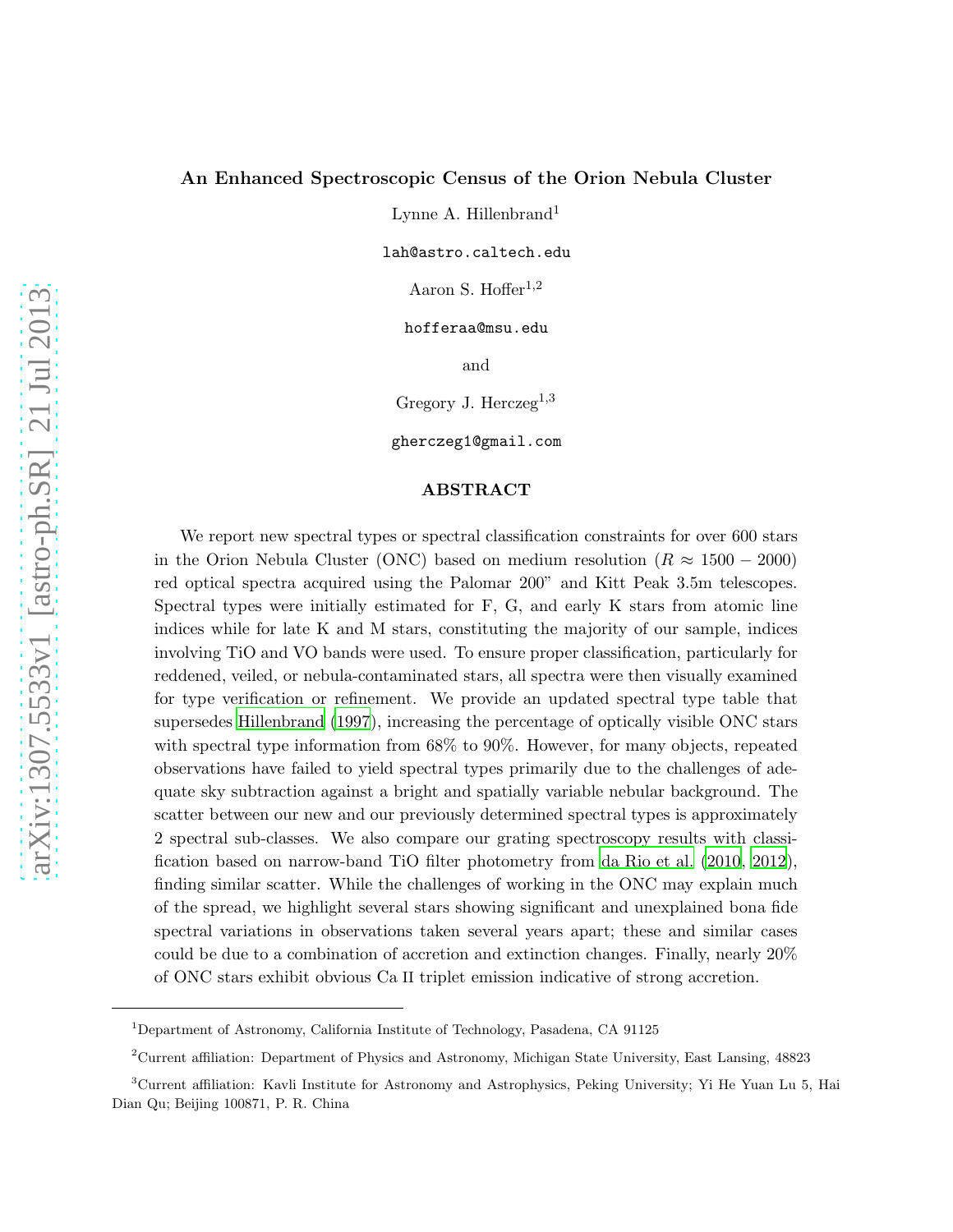# An Enhanced Spectroscopic Census of the Orion Nebula Cluster

Lynne A. Hillenbrand<sup>1</sup>

lah@astro.caltech.edu

Aaron S. Hoffer $1,2$ 

hofferaa@msu.edu

and

Gregory J. Herczeg<sup>1,3</sup>

gherczeg1@gmail.com

# ABSTRACT

We report new spectral types or spectral classification constraints for over 600 stars in the Orion Nebula Cluster (ONC) based on medium resolution ( $R \approx 1500 - 2000$ ) red optical spectra acquired using the Palomar 200" and Kitt Peak 3.5m telescopes. Spectral types were initially estimated for F, G, and early K stars from atomic line indices while for late K and M stars, constituting the majority of our sample, indices involving TiO and VO bands were used. To ensure proper classification, particularly for reddened, veiled, or nebula-contaminated stars, all spectra were then visually examined for type verification or refinement. We provide an updated spectral type table that supersedes [Hillenbrand \(1997](#page-17-0)), increasing the percentage of optically visible ONC stars with spectral type information from 68% to 90%. However, for many objects, repeated observations have failed to yield spectral types primarily due to the challenges of adequate sky subtraction against a bright and spatially variable nebular background. The scatter between our new and our previously determined spectral types is approximately 2 spectral sub-classes. We also compare our grating spectroscopy results with classification based on narrow-band TiO filter photometry from [da Rio et al. \(2010](#page-19-0), [2012](#page-19-1)), finding similar scatter. While the challenges of working in the ONC may explain much of the spread, we highlight several stars showing significant and unexplained bona fide spectral variations in observations taken several years apart; these and similar cases could be due to a combination of accretion and extinction changes. Finally, nearly 20% of ONC stars exhibit obvious Ca II triplet emission indicative of strong accretion.

<sup>&</sup>lt;sup>1</sup>Department of Astronomy, California Institute of Technology, Pasadena, CA 91125

<sup>2</sup>Current affiliation: Department of Physics and Astronomy, Michigan State University, East Lansing, 48823

<sup>3</sup>Current affiliation: Kavli Institute for Astronomy and Astrophysics, Peking University; Yi He Yuan Lu 5, Hai Dian Qu; Beijing 100871, P. R. China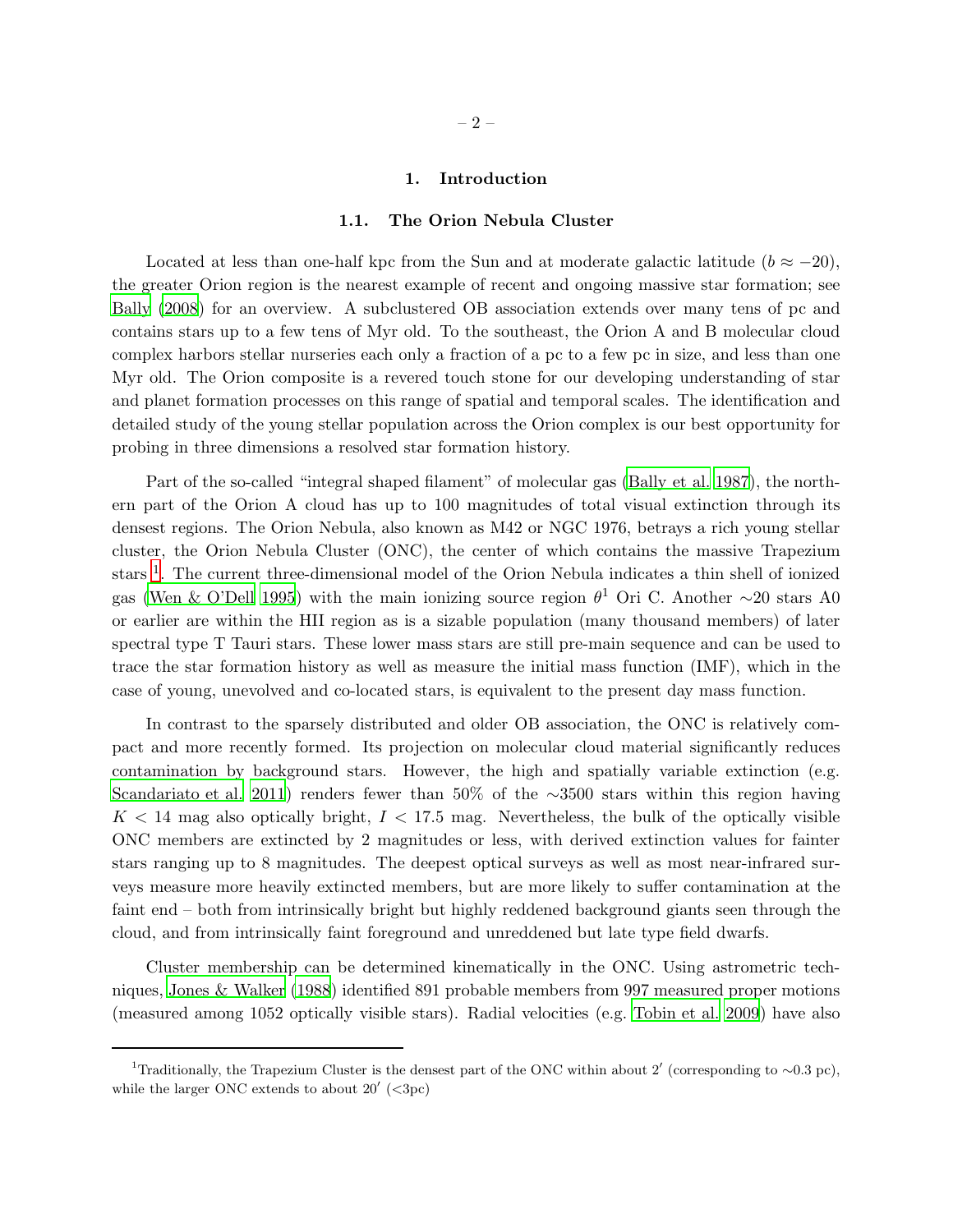### 1. Introduction

#### 1.1. The Orion Nebula Cluster

Located at less than one-half kpc from the Sun and at moderate galactic latitude  $(b \approx -20)$ , the greater Orion region is the nearest example of recent and ongoing massive star formation; see [Bally \(2008](#page-16-0)) for an overview. A subclustered OB association extends over many tens of pc and contains stars up to a few tens of Myr old. To the southeast, the Orion A and B molecular cloud complex harbors stellar nurseries each only a fraction of a pc to a few pc in size, and less than one Myr old. The Orion composite is a revered touch stone for our developing understanding of star and planet formation processes on this range of spatial and temporal scales. The identification and detailed study of the young stellar population across the Orion complex is our best opportunity for probing in three dimensions a resolved star formation history.

Part of the so-called "integral shaped filament" of molecular gas [\(Bally et al. 1987](#page-16-1)), the northern part of the Orion A cloud has up to 100 magnitudes of total visual extinction through its densest regions. The Orion Nebula, also known as M42 or NGC 1976, betrays a rich young stellar cluster, the Orion Nebula Cluster (ONC), the center of which contains the massive Trapezium stars<sup>[1](#page-1-0)</sup>. The current three-dimensional model of the Orion Nebula indicates a thin shell of ionized gas [\(Wen & O'Dell 1995\)](#page-19-2) with the main ionizing source region  $\theta^1$  Ori C. Another ∼20 stars A0 or earlier are within the HII region as is a sizable population (many thousand members) of later spectral type T Tauri stars. These lower mass stars are still pre-main sequence and can be used to trace the star formation history as well as measure the initial mass function (IMF), which in the case of young, unevolved and co-located stars, is equivalent to the present day mass function.

In contrast to the sparsely distributed and older OB association, the ONC is relatively compact and more recently formed. Its projection on molecular cloud material significantly reduces contamination by background stars. However, the high and spatially variable extinction (e.g. [Scandariato et al. 2011](#page-19-3)) renders fewer than 50% of the ∼3500 stars within this region having  $K < 14$  mag also optically bright,  $I < 17.5$  mag. Nevertheless, the bulk of the optically visible ONC members are extincted by 2 magnitudes or less, with derived extinction values for fainter stars ranging up to 8 magnitudes. The deepest optical surveys as well as most near-infrared surveys measure more heavily extincted members, but are more likely to suffer contamination at the faint end – both from intrinsically bright but highly reddened background giants seen through the cloud, and from intrinsically faint foreground and unreddened but late type field dwarfs.

Cluster membership can be determined kinematically in the ONC. Using astrometric techniques, [Jones & Walker \(1988](#page-17-1)) identified 891 probable members from 997 measured proper motions (measured among 1052 optically visible stars). Radial velocities (e.g. [Tobin et al. 2009](#page-19-4)) have also

<span id="page-1-0"></span><sup>&</sup>lt;sup>1</sup>Traditionally, the Trapezium Cluster is the densest part of the ONC within about 2' (corresponding to ~0.3 pc), while the larger ONC extends to about  $20'$  (<3pc)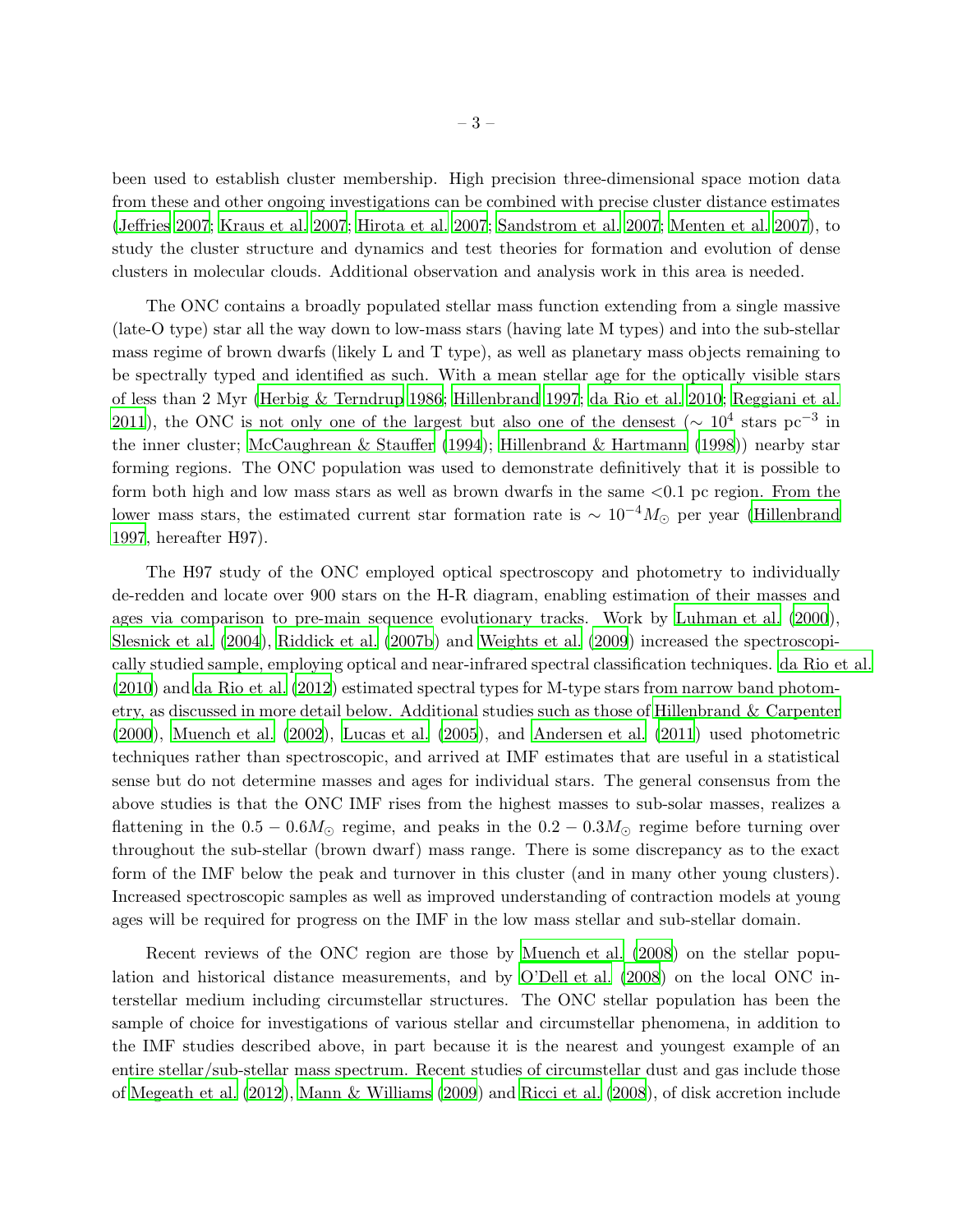been used to establish cluster membership. High precision three-dimensional space motion data from these and other ongoing investigations can be combined with precise cluster distance estimates [\(Jeffries 2007;](#page-17-2) [Kraus et al. 2007](#page-17-3); [Hirota et al. 2007](#page-17-4); [Sandstrom et al. 2007](#page-19-5); [Menten et al. 2007](#page-18-0)), to study the cluster structure and dynamics and test theories for formation and evolution of dense clusters in molecular clouds. Additional observation and analysis work in this area is needed.

The ONC contains a broadly populated stellar mass function extending from a single massive (late-O type) star all the way down to low-mass stars (having late M types) and into the sub-stellar mass regime of brown dwarfs (likely L and T type), as well as planetary mass objects remaining to be spectrally typed and identified as such. With a mean stellar age for the optically visible stars of less than 2 Myr [\(Herbig & Terndrup 1986](#page-17-5); [Hillenbrand 1997](#page-17-0); [da Rio et al. 2010](#page-19-0); [Reggiani et al.](#page-18-1) [2011\)](#page-18-1), the ONC is not only one of the largest but also one of the densest ( $\sim 10^4$  stars pc<sup>-3</sup> in the inner cluster; [McCaughrean & Stauffer \(1994](#page-17-6)); [Hillenbrand & Hartmann \(1998](#page-17-7))) nearby star forming regions. The ONC population was used to demonstrate definitively that it is possible to form both high and low mass stars as well as brown dwarfs in the same  $\langle 0.1 \rangle$  pc region. From the lower mass stars, the estimated current star formation rate is  $\sim 10^{-4} M_{\odot}$  per year [\(Hillenbrand](#page-17-0) [1997,](#page-17-0) hereafter H97).

The H97 study of the ONC employed optical spectroscopy and photometry to individually de-redden and locate over 900 stars on the H-R diagram, enabling estimation of their masses and ages via comparison to pre-main sequence evolutionary tracks. Work by [Luhman et al. \(2000](#page-17-8)), [Slesnick et al. \(2004](#page-19-6)), [Riddick et al. \(2007b\)](#page-18-2) and [Weights et](#page-19-7) al. [\(2009\)](#page-19-7) increased the spectroscopically studied sample, employing optical and near-infrared spectral classification techniques. [da Rio et al.](#page-19-0) [\(2010](#page-19-0)) and [da Rio et al. \(2012](#page-19-1)) estimated spectral types for M-type stars from narrow band photometry, as discussed in more detail below. Additional studies such as those of [Hillenbrand & Carpenter](#page-17-9) [\(2000](#page-17-9)), [Muench et al. \(2002](#page-18-3)), [Lucas et al. \(2005](#page-17-10)), and [Andersen et al. \(2011](#page-16-2)) used photometric techniques rather than spectroscopic, and arrived at IMF estimates that are useful in a statistical sense but do not determine masses and ages for individual stars. The general consensus from the above studies is that the ONC IMF rises from the highest masses to sub-solar masses, realizes a flattening in the  $0.5 - 0.6M_{\odot}$  regime, and peaks in the  $0.2 - 0.3M_{\odot}$  regime before turning over throughout the sub-stellar (brown dwarf) mass range. There is some discrepancy as to the exact form of the IMF below the peak and turnover in this cluster (and in many other young clusters). Increased spectroscopic samples as well as improved understanding of contraction models at young ages will be required for progress on the IMF in the low mass stellar and sub-stellar domain.

Recent reviews of the ONC region are those by [Muench et al. \(2008](#page-18-4)) on the stellar population and historical distance measurements, and by [O'Dell](#page-18-5) et al. [\(2008](#page-18-5)) on the local ONC interstellar medium including circumstellar structures. The ONC stellar population has been the sample of choice for investigations of various stellar and circumstellar phenomena, in addition to the IMF studies described above, in part because it is the nearest and youngest example of an entire stellar/sub-stellar mass spectrum. Recent studies of circumstellar dust and gas include those of [Megeath et al. \(2012](#page-18-6)), [Mann & Williams \(2009](#page-17-11)) and [Ricci et al. \(2008](#page-18-7)), of disk accretion include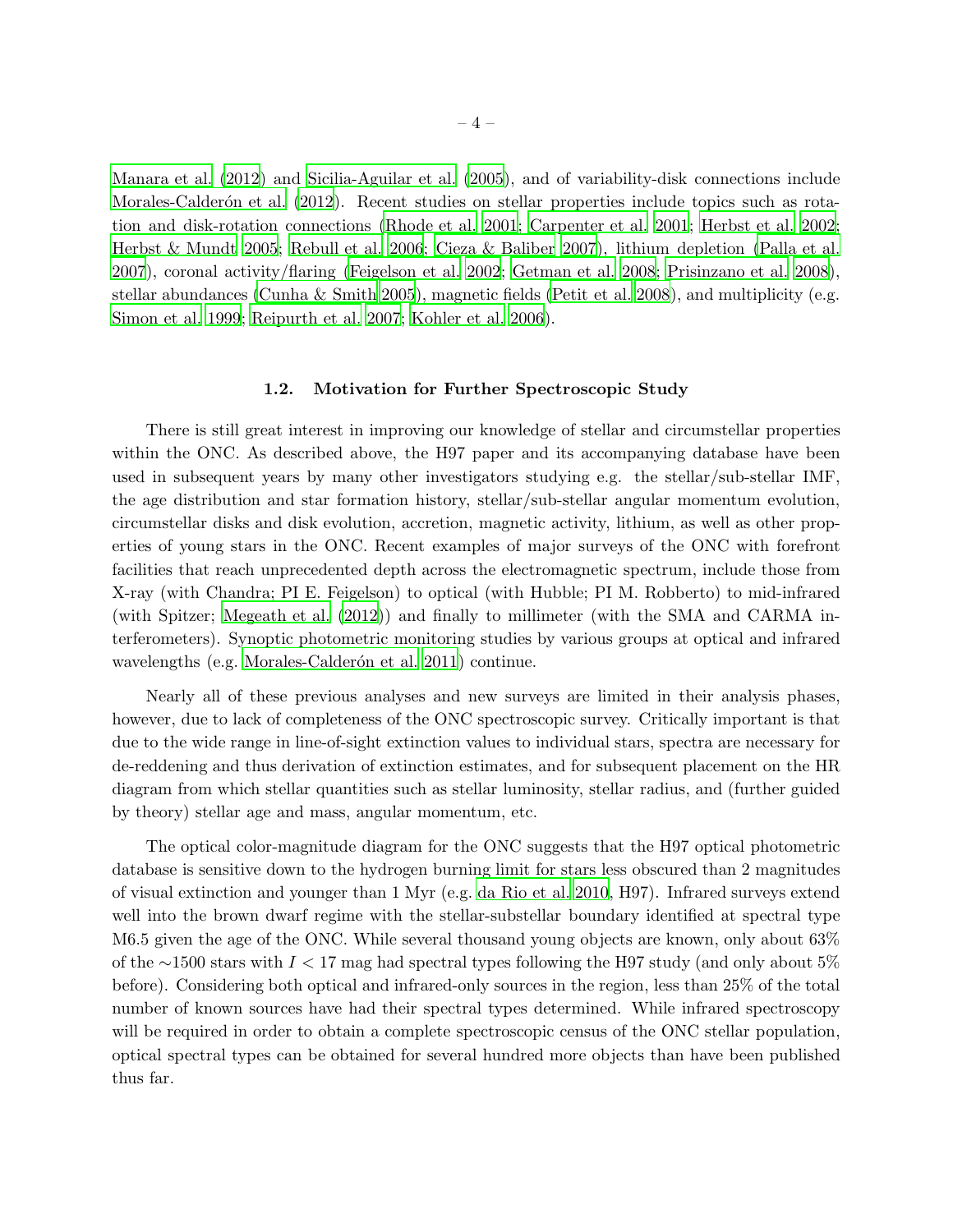[Manara et al. \(2012](#page-17-12)) and [Sicilia-Aguilar et al. \(2005\)](#page-19-8), and of variability-disk connections include Morales-Calderón et al. (2012). Recent studies on stellar properties include topics such as rotation and disk-rotation connections [\(Rhode et al. 2001;](#page-18-9) [Carpenter et al. 2001;](#page-16-3) [Herbst et al. 2002;](#page-17-13) [Herbst & Mundt 2005;](#page-17-14) [Rebull et al. 2006](#page-18-10); [Cieza & Baliber 2007](#page-16-4)), lithium depletion [\(Palla et al.](#page-18-11) [2007\)](#page-18-11), coronal activity/flaring [\(Feigelson et al. 2002;](#page-16-5) [Getman et al. 2008](#page-16-6); [Prisinzano et al. 2008\)](#page-18-12), stellar abundances [\(Cunha & Smith 2005](#page-16-7)), magnetic fields [\(Petit et al. 2008\)](#page-18-13), and multiplicity (e.g. [Simon et al. 1999](#page-19-9); [Reipurth et al. 2007](#page-18-14); [Kohler et al. 2006\)](#page-17-15).

#### 1.2. Motivation for Further Spectroscopic Study

There is still great interest in improving our knowledge of stellar and circumstellar properties within the ONC. As described above, the H97 paper and its accompanying database have been used in subsequent years by many other investigators studying e.g. the stellar/sub-stellar IMF, the age distribution and star formation history, stellar/sub-stellar angular momentum evolution, circumstellar disks and disk evolution, accretion, magnetic activity, lithium, as well as other properties of young stars in the ONC. Recent examples of major surveys of the ONC with forefront facilities that reach unprecedented depth across the electromagnetic spectrum, include those from X-ray (with Chandra; PI E. Feigelson) to optical (with Hubble; PI M. Robberto) to mid-infrared (with Spitzer; [Megeath et al. \(2012\)](#page-18-6)) and finally to millimeter (with the SMA and CARMA interferometers). Synoptic photometric monitoring studies by various groups at optical and infrared wavelengths (e.g. Morales-Calderón et al. 2011) continue.

Nearly all of these previous analyses and new surveys are limited in their analysis phases, however, due to lack of completeness of the ONC spectroscopic survey. Critically important is that due to the wide range in line-of-sight extinction values to individual stars, spectra are necessary for de-reddening and thus derivation of extinction estimates, and for subsequent placement on the HR diagram from which stellar quantities such as stellar luminosity, stellar radius, and (further guided by theory) stellar age and mass, angular momentum, etc.

The optical color-magnitude diagram for the ONC suggests that the H97 optical photometric database is sensitive down to the hydrogen burning limit for stars less obscured than 2 magnitudes of visual extinction and younger than 1 Myr (e.g. [da Rio et al.](#page-19-0) [2010](#page-19-0), H97). Infrared surveys extend well into the brown dwarf regime with the stellar-substellar boundary identified at spectral type M6.5 given the age of the ONC. While several thousand young objects are known, only about 63% of the ∼1500 stars with I < 17 mag had spectral types following the H97 study (and only about 5% before). Considering both optical and infrared-only sources in the region, less than 25% of the total number of known sources have had their spectral types determined. While infrared spectroscopy will be required in order to obtain a complete spectroscopic census of the ONC stellar population, optical spectral types can be obtained for several hundred more objects than have been published thus far.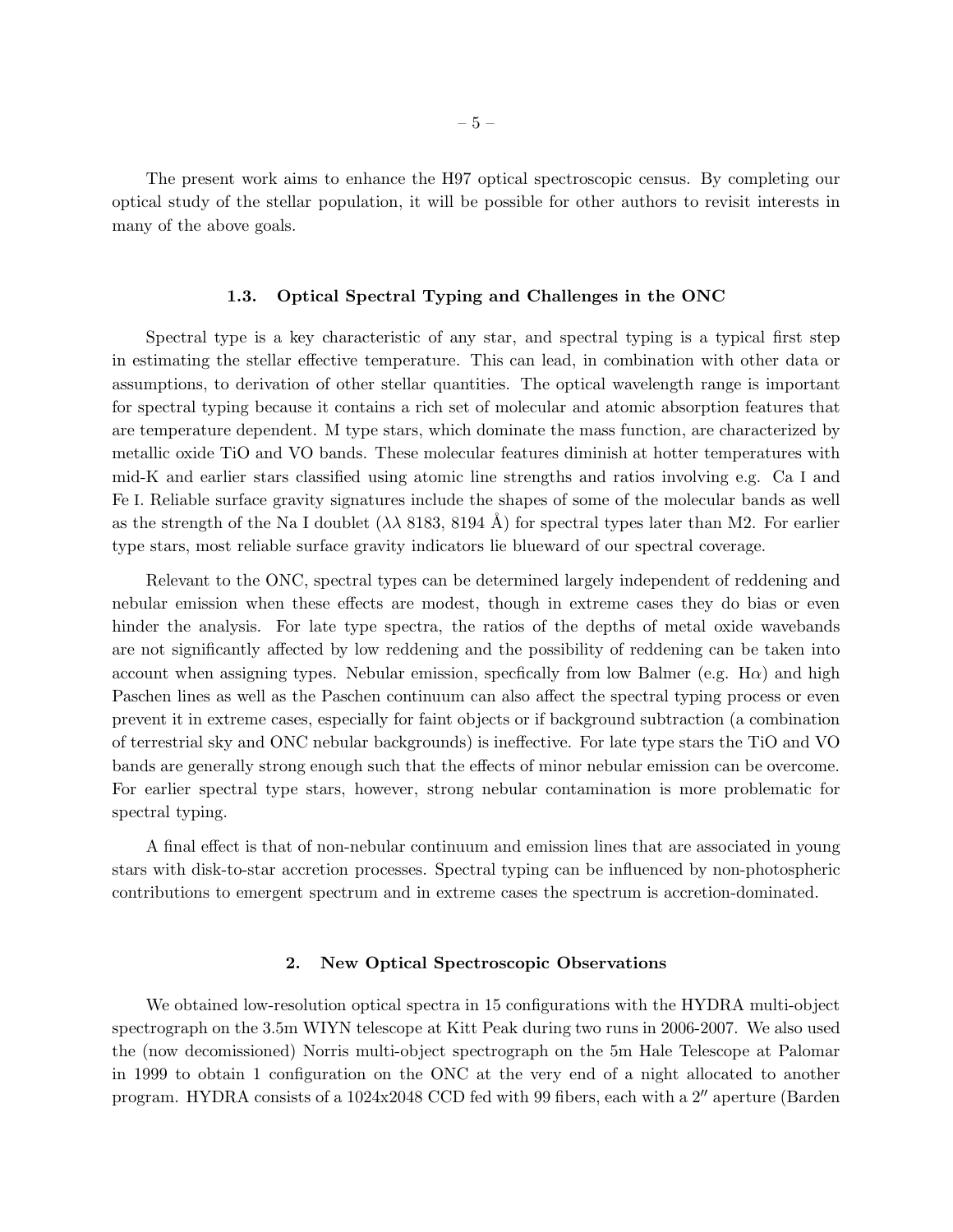The present work aims to enhance the H97 optical spectroscopic census. By completing our optical study of the stellar population, it will be possible for other authors to revisit interests in many of the above goals.

#### 1.3. Optical Spectral Typing and Challenges in the ONC

Spectral type is a key characteristic of any star, and spectral typing is a typical first step in estimating the stellar effective temperature. This can lead, in combination with other data or assumptions, to derivation of other stellar quantities. The optical wavelength range is important for spectral typing because it contains a rich set of molecular and atomic absorption features that are temperature dependent. M type stars, which dominate the mass function, are characterized by metallic oxide TiO and VO bands. These molecular features diminish at hotter temperatures with mid-K and earlier stars classified using atomic line strengths and ratios involving e.g. Ca I and Fe I. Reliable surface gravity signatures include the shapes of some of the molecular bands as well as the strength of the Na I doublet  $(\lambda \lambda 8183, 8194 \text{ Å})$  for spectral types later than M2. For earlier type stars, most reliable surface gravity indicators lie blueward of our spectral coverage.

Relevant to the ONC, spectral types can be determined largely independent of reddening and nebular emission when these effects are modest, though in extreme cases they do bias or even hinder the analysis. For late type spectra, the ratios of the depths of metal oxide wavebands are not significantly affected by low reddening and the possibility of reddening can be taken into account when assigning types. Nebular emission, specfically from low Balmer (e.g.  $H\alpha$ ) and high Paschen lines as well as the Paschen continuum can also affect the spectral typing process or even prevent it in extreme cases, especially for faint objects or if background subtraction (a combination of terrestrial sky and ONC nebular backgrounds) is ineffective. For late type stars the TiO and VO bands are generally strong enough such that the effects of minor nebular emission can be overcome. For earlier spectral type stars, however, strong nebular contamination is more problematic for spectral typing.

A final effect is that of non-nebular continuum and emission lines that are associated in young stars with disk-to-star accretion processes. Spectral typing can be influenced by non-photospheric contributions to emergent spectrum and in extreme cases the spectrum is accretion-dominated.

### 2. New Optical Spectroscopic Observations

We obtained low-resolution optical spectra in 15 configurations with the HYDRA multi-object spectrograph on the 3.5m WIYN telescope at Kitt Peak during two runs in 2006-2007. We also used the (now decomissioned) Norris multi-object spectrograph on the 5m Hale Telescope at Palomar in 1999 to obtain 1 configuration on the ONC at the very end of a night allocated to another program. HYDRA consists of a 1024x2048 CCD fed with 99 fibers, each with a 2″ aperture (Barden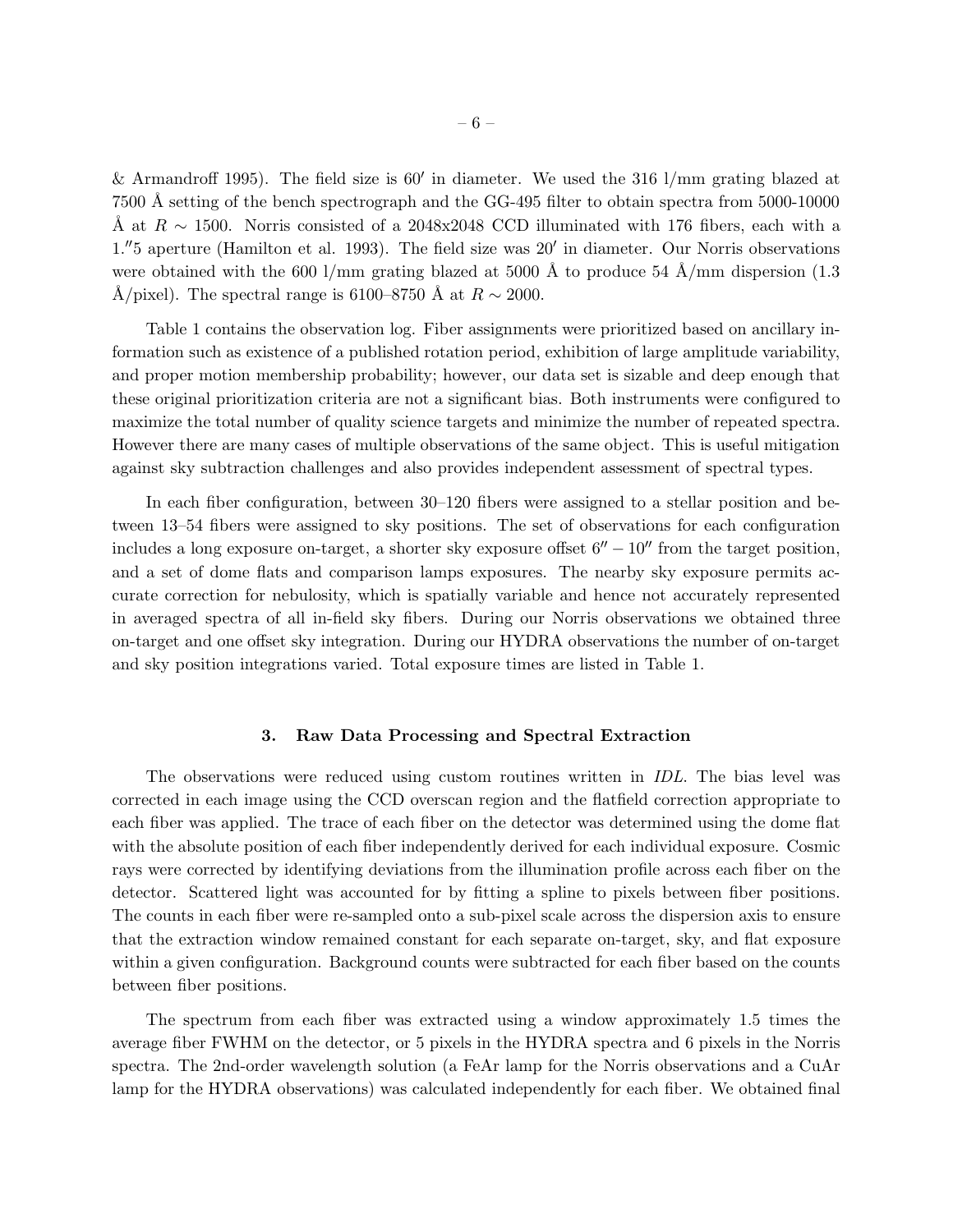& Armandroff 1995). The field size is 60′ in diameter. We used the 316 l/mm grating blazed at 7500 Å setting of the bench spectrograph and the GG-495 filter to obtain spectra from 5000-10000 Å at  $R \sim 1500$ . Norris consisted of a 2048x2048 CCD illuminated with 176 fibers, each with a 1. ′′5 aperture (Hamilton et al. 1993). The field size was 20′ in diameter. Our Norris observations were obtained with the 600 l/mm grating blazed at 5000 Å to produce 54 Å/mm dispersion (1.3) Å/pixel). The spectral range is 6100–8750 Å at  $R \sim 2000$ .

Table 1 contains the observation log. Fiber assignments were prioritized based on ancillary information such as existence of a published rotation period, exhibition of large amplitude variability, and proper motion membership probability; however, our data set is sizable and deep enough that these original prioritization criteria are not a significant bias. Both instruments were configured to maximize the total number of quality science targets and minimize the number of repeated spectra. However there are many cases of multiple observations of the same object. This is useful mitigation against sky subtraction challenges and also provides independent assessment of spectral types.

In each fiber configuration, between 30–120 fibers were assigned to a stellar position and between 13–54 fibers were assigned to sky positions. The set of observations for each configuration includes a long exposure on-target, a shorter sky exposure offset  $6'' - 10''$  from the target position, and a set of dome flats and comparison lamps exposures. The nearby sky exposure permits accurate correction for nebulosity, which is spatially variable and hence not accurately represented in averaged spectra of all in-field sky fibers. During our Norris observations we obtained three on-target and one offset sky integration. During our HYDRA observations the number of on-target and sky position integrations varied. Total exposure times are listed in Table 1.

# 3. Raw Data Processing and Spectral Extraction

The observations were reduced using custom routines written in IDL. The bias level was corrected in each image using the CCD overscan region and the flatfield correction appropriate to each fiber was applied. The trace of each fiber on the detector was determined using the dome flat with the absolute position of each fiber independently derived for each individual exposure. Cosmic rays were corrected by identifying deviations from the illumination profile across each fiber on the detector. Scattered light was accounted for by fitting a spline to pixels between fiber positions. The counts in each fiber were re-sampled onto a sub-pixel scale across the dispersion axis to ensure that the extraction window remained constant for each separate on-target, sky, and flat exposure within a given configuration. Background counts were subtracted for each fiber based on the counts between fiber positions.

The spectrum from each fiber was extracted using a window approximately 1.5 times the average fiber FWHM on the detector, or 5 pixels in the HYDRA spectra and 6 pixels in the Norris spectra. The 2nd-order wavelength solution (a FeAr lamp for the Norris observations and a CuAr lamp for the HYDRA observations) was calculated independently for each fiber. We obtained final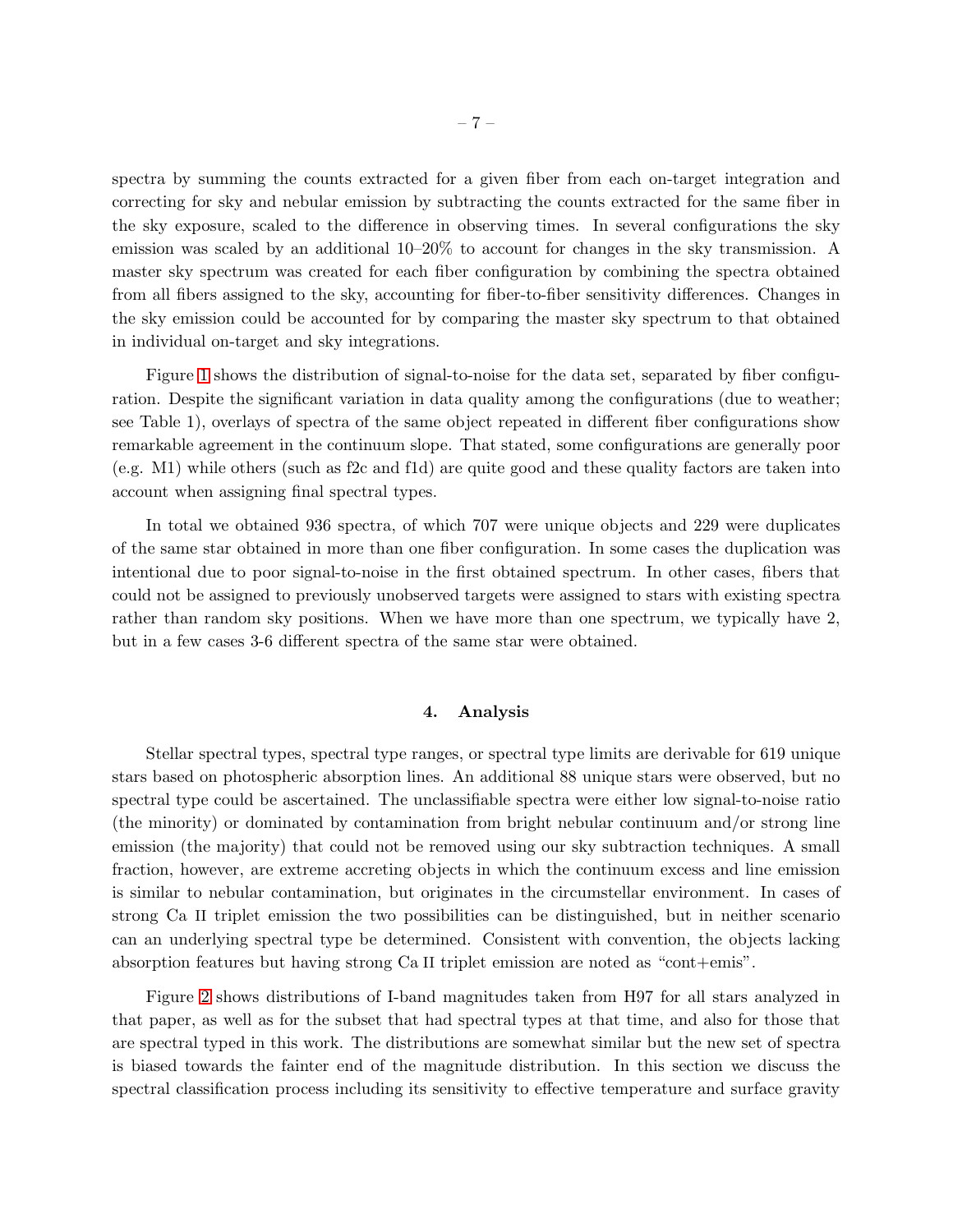spectra by summing the counts extracted for a given fiber from each on-target integration and correcting for sky and nebular emission by subtracting the counts extracted for the same fiber in the sky exposure, scaled to the difference in observing times. In several configurations the sky emission was scaled by an additional 10–20% to account for changes in the sky transmission. A master sky spectrum was created for each fiber configuration by combining the spectra obtained from all fibers assigned to the sky, accounting for fiber-to-fiber sensitivity differences. Changes in the sky emission could be accounted for by comparing the master sky spectrum to that obtained in individual on-target and sky integrations.

Figure [1](#page-20-0) shows the distribution of signal-to-noise for the data set, separated by fiber configuration. Despite the significant variation in data quality among the configurations (due to weather; see Table 1), overlays of spectra of the same object repeated in different fiber configurations show remarkable agreement in the continuum slope. That stated, some configurations are generally poor (e.g. M1) while others (such as f2c and f1d) are quite good and these quality factors are taken into account when assigning final spectral types.

In total we obtained 936 spectra, of which 707 were unique objects and 229 were duplicates of the same star obtained in more than one fiber configuration. In some cases the duplication was intentional due to poor signal-to-noise in the first obtained spectrum. In other cases, fibers that could not be assigned to previously unobserved targets were assigned to stars with existing spectra rather than random sky positions. When we have more than one spectrum, we typically have 2, but in a few cases 3-6 different spectra of the same star were obtained.

## 4. Analysis

Stellar spectral types, spectral type ranges, or spectral type limits are derivable for 619 unique stars based on photospheric absorption lines. An additional 88 unique stars were observed, but no spectral type could be ascertained. The unclassifiable spectra were either low signal-to-noise ratio (the minority) or dominated by contamination from bright nebular continuum and/or strong line emission (the majority) that could not be removed using our sky subtraction techniques. A small fraction, however, are extreme accreting objects in which the continuum excess and line emission is similar to nebular contamination, but originates in the circumstellar environment. In cases of strong Ca II triplet emission the two possibilities can be distinguished, but in neither scenario can an underlying spectral type be determined. Consistent with convention, the objects lacking absorption features but having strong Ca II triplet emission are noted as "cont+emis".

Figure [2](#page-21-0) shows distributions of I-band magnitudes taken from H97 for all stars analyzed in that paper, as well as for the subset that had spectral types at that time, and also for those that are spectral typed in this work. The distributions are somewhat similar but the new set of spectra is biased towards the fainter end of the magnitude distribution. In this section we discuss the spectral classification process including its sensitivity to effective temperature and surface gravity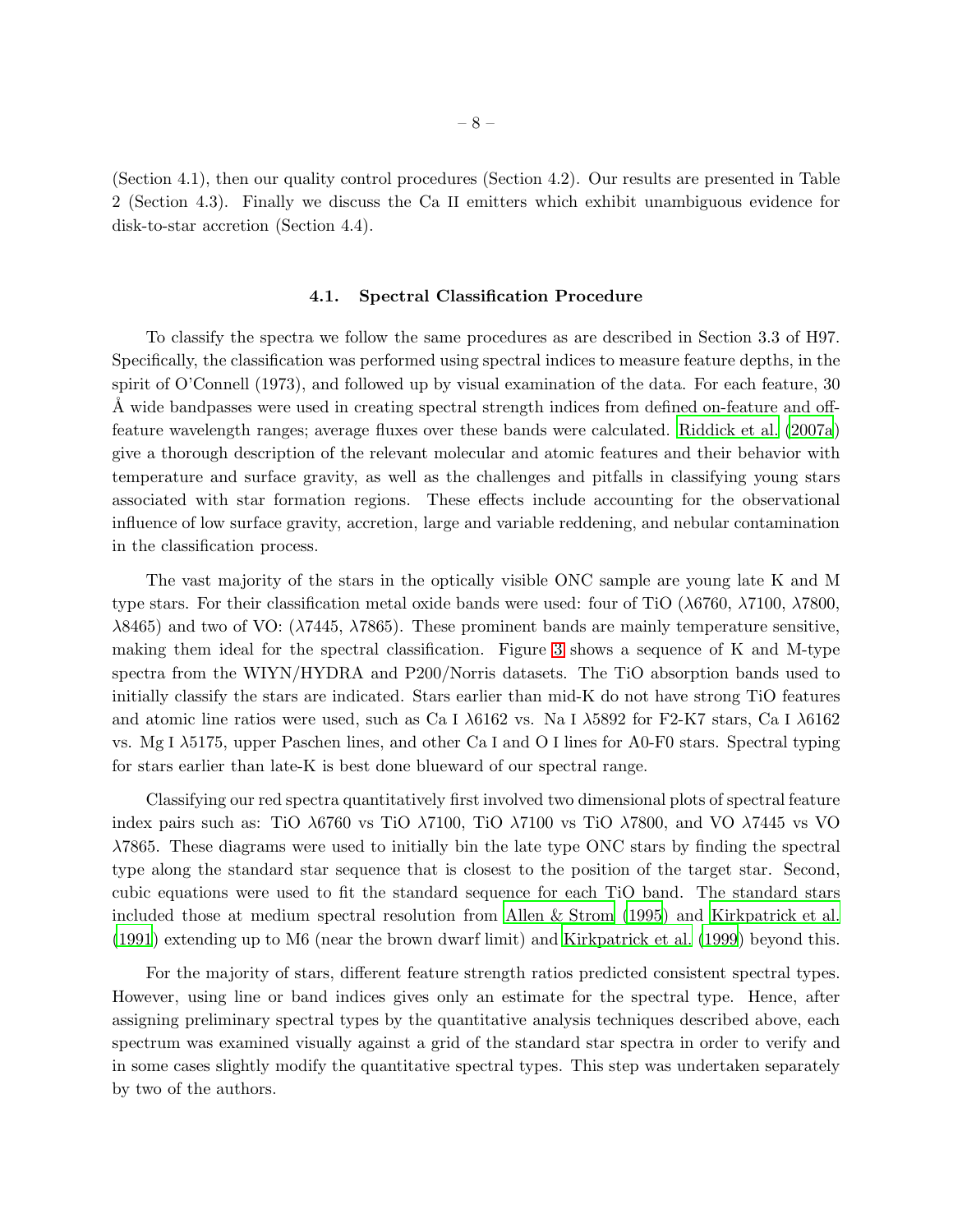(Section 4.1), then our quality control procedures (Section 4.2). Our results are presented in Table 2 (Section 4.3). Finally we discuss the Ca II emitters which exhibit unambiguous evidence for disk-to-star accretion (Section 4.4).

#### 4.1. Spectral Classification Procedure

To classify the spectra we follow the same procedures as are described in Section 3.3 of H97. Specifically, the classification was performed using spectral indices to measure feature depths, in the spirit of O'Connell (1973), and followed up by visual examination of the data. For each feature, 30 A wide bandpasses were used in creating spectral strength indices from defined on-feature and offfeature wavelength ranges; average fluxes over these bands were calculated. [Riddick et al. \(2007a](#page-18-16)) give a thorough description of the relevant molecular and atomic features and their behavior with temperature and surface gravity, as well as the challenges and pitfalls in classifying young stars associated with star formation regions. These effects include accounting for the observational influence of low surface gravity, accretion, large and variable reddening, and nebular contamination in the classification process.

The vast majority of the stars in the optically visible ONC sample are young late K and M type stars. For their classification metal oxide bands were used: four of TiO (λ6760, λ7100, λ7800,  $\lambda$ 8465) and two of VO: ( $\lambda$ 7445,  $\lambda$ 7865). These prominent bands are mainly temperature sensitive, making them ideal for the spectral classification. Figure [3](#page-22-0) shows a sequence of K and M-type spectra from the WIYN/HYDRA and P200/Norris datasets. The TiO absorption bands used to initially classify the stars are indicated. Stars earlier than mid-K do not have strong TiO features and atomic line ratios were used, such as Ca I  $\lambda$ 6162 vs. Na I  $\lambda$ 5892 for F2-K7 stars, Ca I  $\lambda$ 6162 vs. Mg I λ5175, upper Paschen lines, and other Ca I and O I lines for A0-F0 stars. Spectral typing for stars earlier than late-K is best done blueward of our spectral range.

Classifying our red spectra quantitatively first involved two dimensional plots of spectral feature index pairs such as: TiO  $\lambda$ 6760 vs TiO  $\lambda$ 7100, TiO  $\lambda$ 7100 vs TiO  $\lambda$ 7800, and VO  $\lambda$ 7445 vs VO λ7865. These diagrams were used to initially bin the late type ONC stars by finding the spectral type along the standard star sequence that is closest to the position of the target star. Second, cubic equations were used to fit the standard sequence for each TiO band. The standard stars included those at medium spectral resolution from [Allen & Strom \(1995\)](#page-16-8) and [Kirkpatrick et al.](#page-17-16) [\(1991](#page-17-16)) extending up to M6 (near the brown dwarf limit) and [Kirkpatrick et al. \(1999](#page-17-17)) beyond this.

For the majority of stars, different feature strength ratios predicted consistent spectral types. However, using line or band indices gives only an estimate for the spectral type. Hence, after assigning preliminary spectral types by the quantitative analysis techniques described above, each spectrum was examined visually against a grid of the standard star spectra in order to verify and in some cases slightly modify the quantitative spectral types. This step was undertaken separately by two of the authors.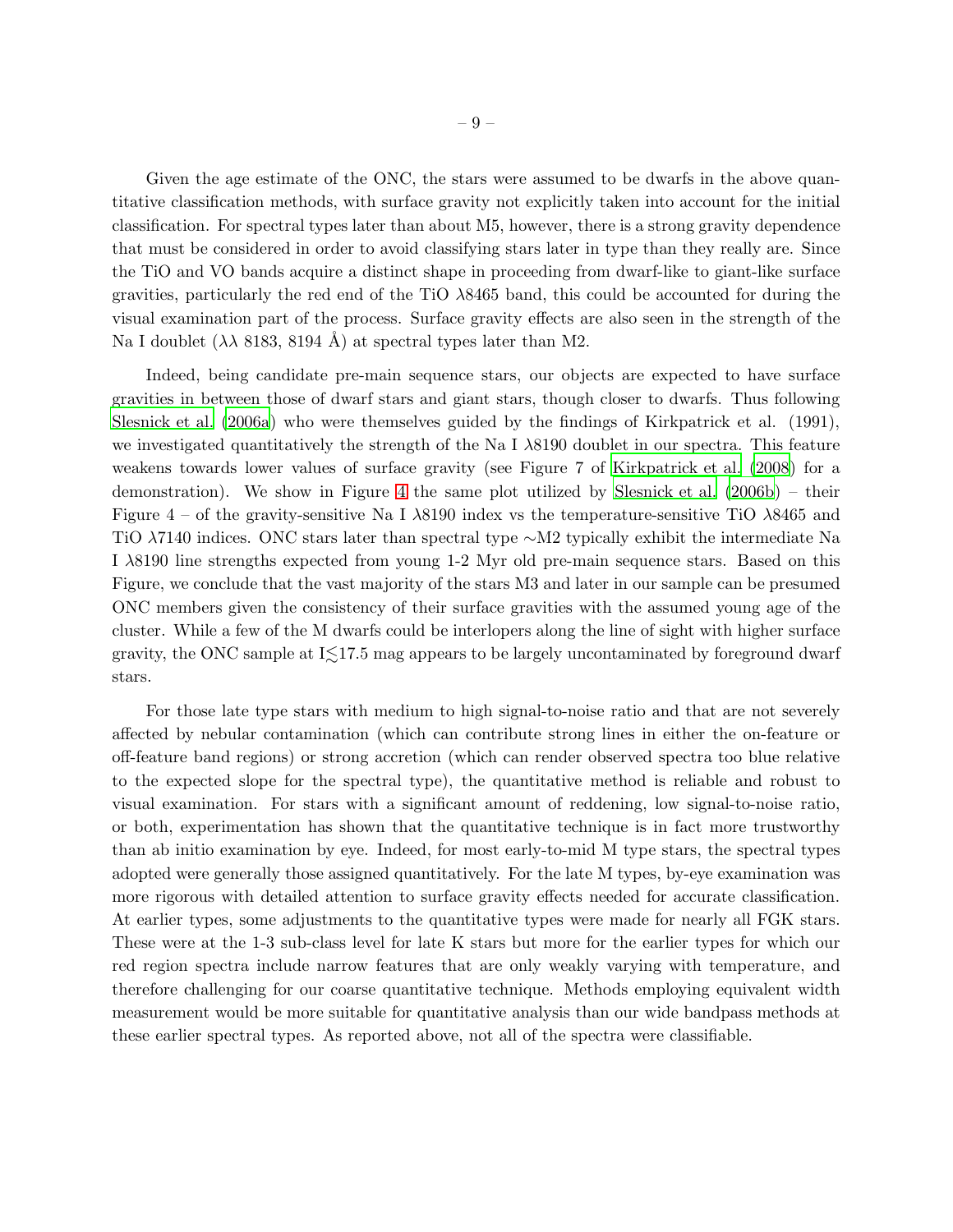Given the age estimate of the ONC, the stars were assumed to be dwarfs in the above quantitative classification methods, with surface gravity not explicitly taken into account for the initial classification. For spectral types later than about M5, however, there is a strong gravity dependence that must be considered in order to avoid classifying stars later in type than they really are. Since the TiO and VO bands acquire a distinct shape in proceeding from dwarf-like to giant-like surface gravities, particularly the red end of the TiO λ8465 band, this could be accounted for during the visual examination part of the process. Surface gravity effects are also seen in the strength of the Na I doublet  $(\lambda \lambda 8183, 8194 \text{ Å})$  at spectral types later than M2.

Indeed, being candidate pre-main sequence stars, our objects are expected to have surface gravities in between those of dwarf stars and giant stars, though closer to dwarfs. Thus following [Slesnick et al. \(2006a](#page-19-10)) who were themselves guided by the findings of Kirkpatrick et al. (1991), we investigated quantitatively the strength of the Na I  $\lambda$ 8190 doublet in our spectra. This feature weakens towards lower values of surface gravity (see Figure 7 of [Kirkpatrick et al. \(2008](#page-17-18)) for a demonstration). We show in Figure [4](#page-23-0) the same plot utilized by [Slesnick et al. \(2006b\)](#page-19-11) – their Figure  $4$  – of the gravity-sensitive Na I  $\lambda$ 8190 index vs the temperature-sensitive TiO  $\lambda$ 8465 and TiO  $\lambda$ 7140 indices. ONC stars later than spectral type ∼M2 typically exhibit the intermediate Na I λ8190 line strengths expected from young 1-2 Myr old pre-main sequence stars. Based on this Figure, we conclude that the vast majority of the stars M3 and later in our sample can be presumed ONC members given the consistency of their surface gravities with the assumed young age of the cluster. While a few of the M dwarfs could be interlopers along the line of sight with higher surface gravity, the ONC sample at  $I\leq 17.5$  mag appears to be largely uncontaminated by foreground dwarf stars.

For those late type stars with medium to high signal-to-noise ratio and that are not severely affected by nebular contamination (which can contribute strong lines in either the on-feature or off-feature band regions) or strong accretion (which can render observed spectra too blue relative to the expected slope for the spectral type), the quantitative method is reliable and robust to visual examination. For stars with a significant amount of reddening, low signal-to-noise ratio, or both, experimentation has shown that the quantitative technique is in fact more trustworthy than ab initio examination by eye. Indeed, for most early-to-mid M type stars, the spectral types adopted were generally those assigned quantitatively. For the late M types, by-eye examination was more rigorous with detailed attention to surface gravity effects needed for accurate classification. At earlier types, some adjustments to the quantitative types were made for nearly all FGK stars. These were at the 1-3 sub-class level for late K stars but more for the earlier types for which our red region spectra include narrow features that are only weakly varying with temperature, and therefore challenging for our coarse quantitative technique. Methods employing equivalent width measurement would be more suitable for quantitative analysis than our wide bandpass methods at these earlier spectral types. As reported above, not all of the spectra were classifiable.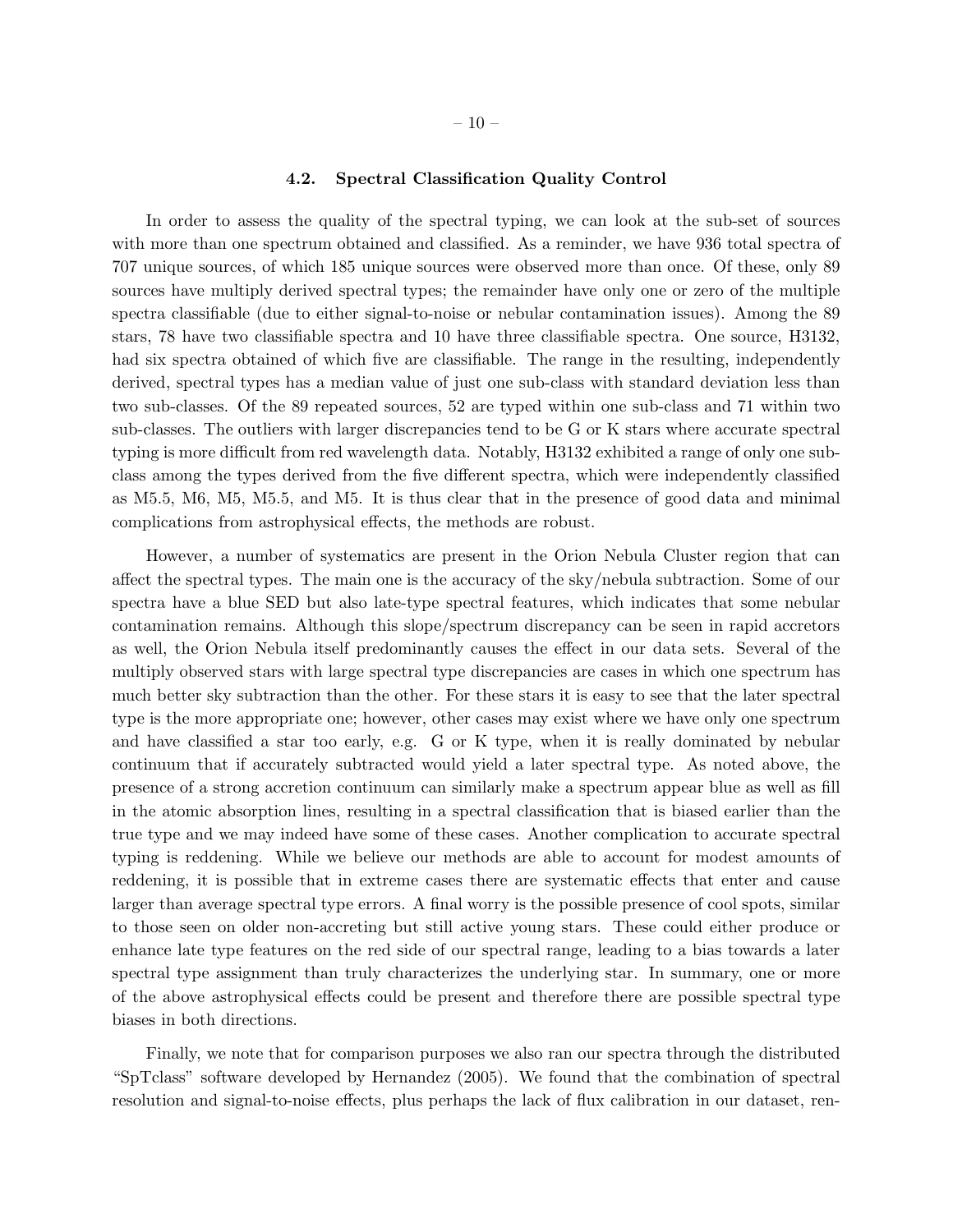### 4.2. Spectral Classification Quality Control

In order to assess the quality of the spectral typing, we can look at the sub-set of sources with more than one spectrum obtained and classified. As a reminder, we have 936 total spectra of 707 unique sources, of which 185 unique sources were observed more than once. Of these, only 89 sources have multiply derived spectral types; the remainder have only one or zero of the multiple spectra classifiable (due to either signal-to-noise or nebular contamination issues). Among the 89 stars, 78 have two classifiable spectra and 10 have three classifiable spectra. One source, H3132, had six spectra obtained of which five are classifiable. The range in the resulting, independently derived, spectral types has a median value of just one sub-class with standard deviation less than two sub-classes. Of the 89 repeated sources, 52 are typed within one sub-class and 71 within two sub-classes. The outliers with larger discrepancies tend to be G or K stars where accurate spectral typing is more difficult from red wavelength data. Notably, H3132 exhibited a range of only one subclass among the types derived from the five different spectra, which were independently classified as M5.5, M6, M5, M5.5, and M5. It is thus clear that in the presence of good data and minimal complications from astrophysical effects, the methods are robust.

However, a number of systematics are present in the Orion Nebula Cluster region that can affect the spectral types. The main one is the accuracy of the sky/nebula subtraction. Some of our spectra have a blue SED but also late-type spectral features, which indicates that some nebular contamination remains. Although this slope/spectrum discrepancy can be seen in rapid accretors as well, the Orion Nebula itself predominantly causes the effect in our data sets. Several of the multiply observed stars with large spectral type discrepancies are cases in which one spectrum has much better sky subtraction than the other. For these stars it is easy to see that the later spectral type is the more appropriate one; however, other cases may exist where we have only one spectrum and have classified a star too early, e.g. G or K type, when it is really dominated by nebular continuum that if accurately subtracted would yield a later spectral type. As noted above, the presence of a strong accretion continuum can similarly make a spectrum appear blue as well as fill in the atomic absorption lines, resulting in a spectral classification that is biased earlier than the true type and we may indeed have some of these cases. Another complication to accurate spectral typing is reddening. While we believe our methods are able to account for modest amounts of reddening, it is possible that in extreme cases there are systematic effects that enter and cause larger than average spectral type errors. A final worry is the possible presence of cool spots, similar to those seen on older non-accreting but still active young stars. These could either produce or enhance late type features on the red side of our spectral range, leading to a bias towards a later spectral type assignment than truly characterizes the underlying star. In summary, one or more of the above astrophysical effects could be present and therefore there are possible spectral type biases in both directions.

Finally, we note that for comparison purposes we also ran our spectra through the distributed "SpTclass" software developed by Hernandez (2005). We found that the combination of spectral resolution and signal-to-noise effects, plus perhaps the lack of flux calibration in our dataset, ren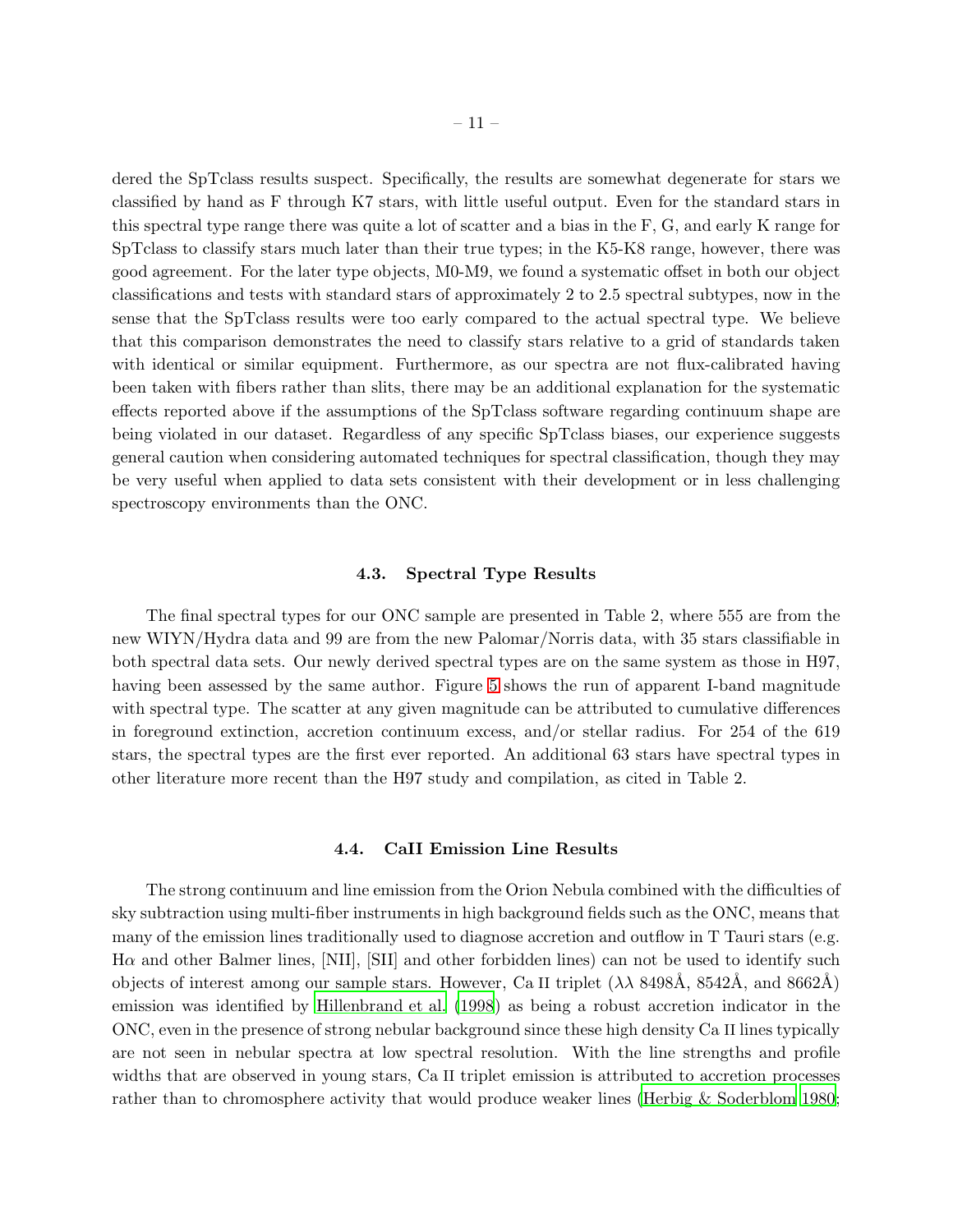dered the SpTclass results suspect. Specifically, the results are somewhat degenerate for stars we classified by hand as F through K7 stars, with little useful output. Even for the standard stars in this spectral type range there was quite a lot of scatter and a bias in the F, G, and early K range for SpTclass to classify stars much later than their true types; in the K5-K8 range, however, there was good agreement. For the later type objects, M0-M9, we found a systematic offset in both our object classifications and tests with standard stars of approximately 2 to 2.5 spectral subtypes, now in the sense that the SpTclass results were too early compared to the actual spectral type. We believe that this comparison demonstrates the need to classify stars relative to a grid of standards taken with identical or similar equipment. Furthermore, as our spectra are not flux-calibrated having been taken with fibers rather than slits, there may be an additional explanation for the systematic effects reported above if the assumptions of the SpTclass software regarding continuum shape are being violated in our dataset. Regardless of any specific SpTclass biases, our experience suggests general caution when considering automated techniques for spectral classification, though they may be very useful when applied to data sets consistent with their development or in less challenging spectroscopy environments than the ONC.

### 4.3. Spectral Type Results

The final spectral types for our ONC sample are presented in Table 2, where 555 are from the new WIYN/Hydra data and 99 are from the new Palomar/Norris data, with 35 stars classifiable in both spectral data sets. Our newly derived spectral types are on the same system as those in H97, having been assessed by the same author. Figure [5](#page-24-0) shows the run of apparent I-band magnitude with spectral type. The scatter at any given magnitude can be attributed to cumulative differences in foreground extinction, accretion continuum excess, and/or stellar radius. For 254 of the 619 stars, the spectral types are the first ever reported. An additional 63 stars have spectral types in other literature more recent than the H97 study and compilation, as cited in Table 2.

#### 4.4. CaII Emission Line Results

The strong continuum and line emission from the Orion Nebula combined with the difficulties of sky subtraction using multi-fiber instruments in high background fields such as the ONC, means that many of the emission lines traditionally used to diagnose accretion and outflow in T Tauri stars (e.g.  $H\alpha$  and other Balmer lines, [NII], [SII] and other forbidden lines) can not be used to identify such objects of interest among our sample stars. However, Ca II triplet  $(\lambda \lambda 8498\text{\AA}, 8542\text{\AA}, \text{ and } 8662\text{\AA})$ emission was identified by [Hillenbrand et al. \(1998](#page-17-19)) as being a robust accretion indicator in the ONC, even in the presence of strong nebular background since these high density Ca II lines typically are not seen in nebular spectra at low spectral resolution. With the line strengths and profile widths that are observed in young stars, Ca II triplet emission is attributed to accretion processes rather than to chromosphere activity that would produce weaker lines [\(Herbig & Soderblom 1980](#page-16-9);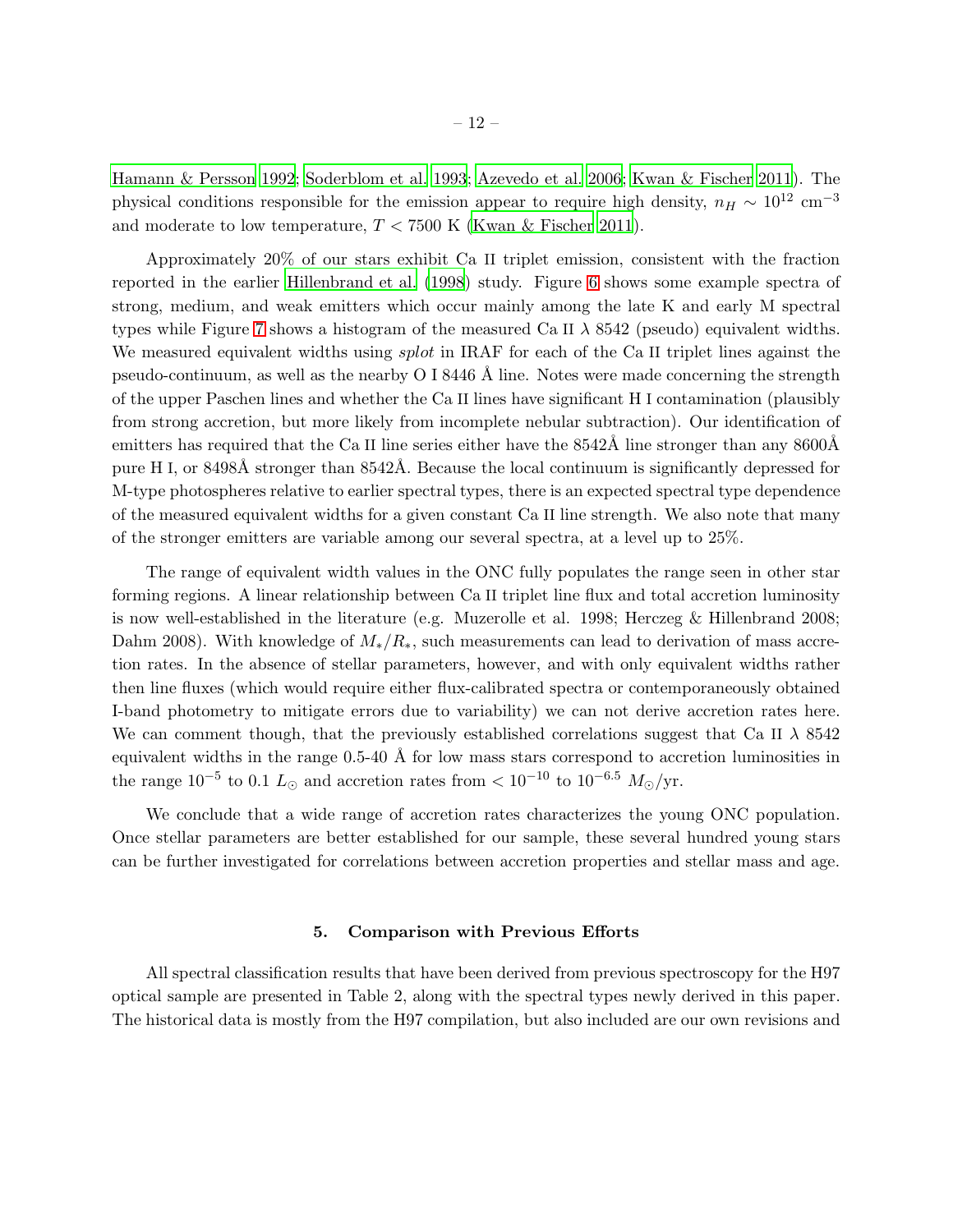[Hamann & Persson 1992;](#page-16-10) [Soderblom et al. 1993](#page-19-12); [Azevedo et al. 2006](#page-16-11); [Kwan & Fischer 2011](#page-17-20)). The physical conditions responsible for the emission appear to require high density,  $n_H \sim 10^{12}$  cm<sup>-3</sup> and moderate to low temperature,  $T < 7500$  K [\(Kwan & Fischer 2011\)](#page-17-20).

Approximately 20% of our stars exhibit Ca II triplet emission, consistent with the fraction reported in the earlier [Hillenbrand et al. \(1998](#page-17-19)) study. Figure [6](#page-25-0) shows some example spectra of strong, medium, and weak emitters which occur mainly among the late K and early M spectral types while Figure [7](#page-26-0) shows a histogram of the measured Ca II  $\lambda$  8542 (pseudo) equivalent widths. We measured equivalent widths using *splot* in IRAF for each of the Ca II triplet lines against the pseudo-continuum, as well as the nearby  $O<sub>I</sub> 8446$  Å line. Notes were made concerning the strength of the upper Paschen lines and whether the Ca II lines have significant H I contamination (plausibly from strong accretion, but more likely from incomplete nebular subtraction). Our identification of emitters has required that the Ca II line series either have the  $8542\text{\AA}$  line stronger than any  $8600\text{\AA}$ pure H I, or  $8498\text{\AA}$  stronger than  $8542\text{\AA}$ . Because the local continuum is significantly depressed for M-type photospheres relative to earlier spectral types, there is an expected spectral type dependence of the measured equivalent widths for a given constant Ca II line strength. We also note that many of the stronger emitters are variable among our several spectra, at a level up to 25%.

The range of equivalent width values in the ONC fully populates the range seen in other star forming regions. A linear relationship between Ca II triplet line flux and total accretion luminosity is now well-established in the literature (e.g. Muzerolle et al. 1998; Herczeg & Hillenbrand 2008; Dahm 2008). With knowledge of  $M_*/R_*$ , such measurements can lead to derivation of mass accretion rates. In the absence of stellar parameters, however, and with only equivalent widths rather then line fluxes (which would require either flux-calibrated spectra or contemporaneously obtained I-band photometry to mitigate errors due to variability) we can not derive accretion rates here. We can comment though, that the previously established correlations suggest that Ca II  $\lambda$  8542 equivalent widths in the range  $0.5-40$  Å for low mass stars correspond to accretion luminosities in the range  $10^{-5}$  to 0.1  $L_{\odot}$  and accretion rates from  $< 10^{-10}$  to  $10^{-6.5}$   $M_{\odot}/yr$ .

We conclude that a wide range of accretion rates characterizes the young ONC population. Once stellar parameters are better established for our sample, these several hundred young stars can be further investigated for correlations between accretion properties and stellar mass and age.

#### 5. Comparison with Previous Efforts

All spectral classification results that have been derived from previous spectroscopy for the H97 optical sample are presented in Table 2, along with the spectral types newly derived in this paper. The historical data is mostly from the H97 compilation, but also included are our own revisions and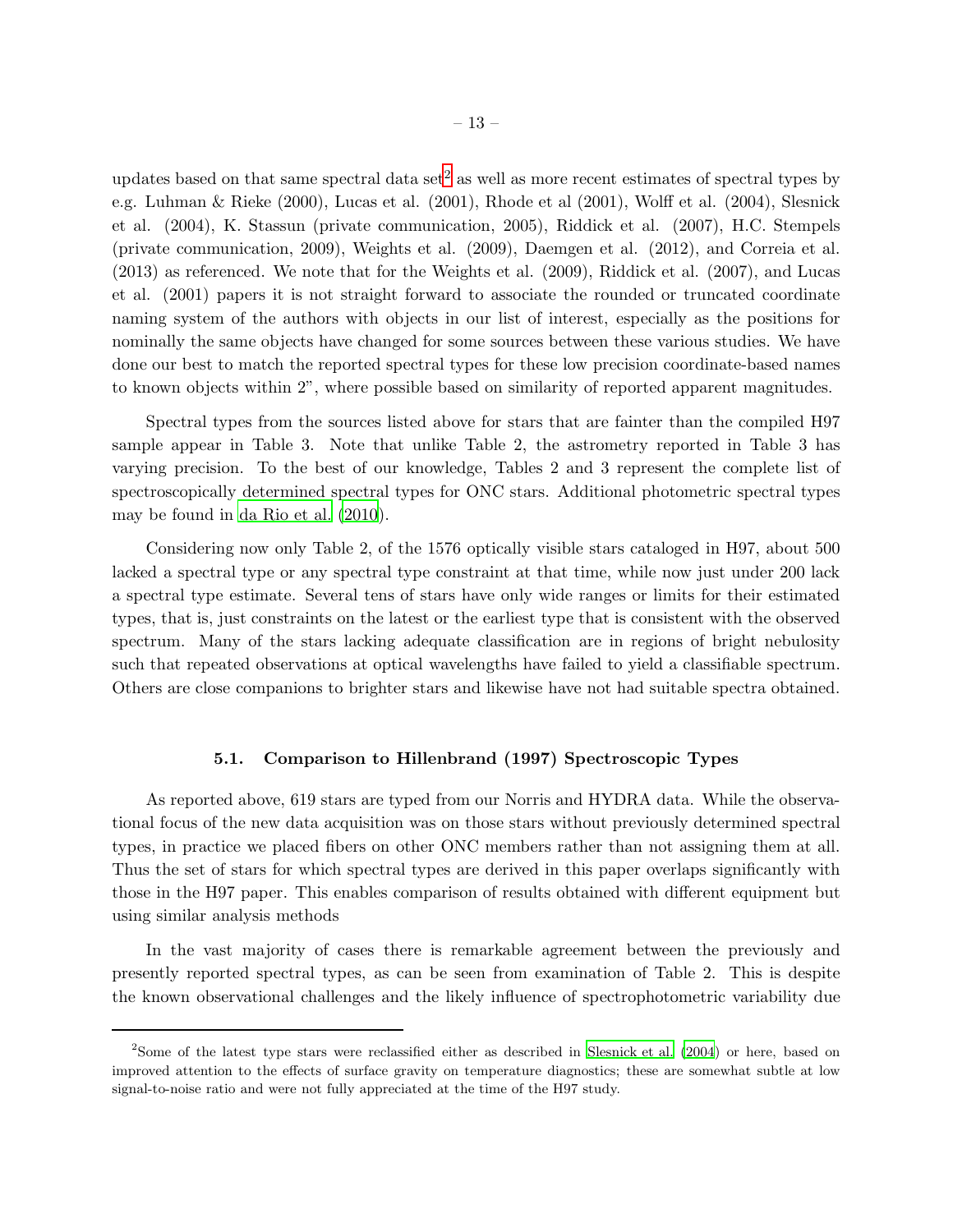updates based on that same spectral data set<sup>[2](#page-19-13)</sup> as well as more recent estimates of spectral types by e.g. Luhman & Rieke (2000), Lucas et al. (2001), Rhode et al (2001), Wolff et al. (2004), Slesnick et al. (2004), K. Stassun (private communication, 2005), Riddick et al. (2007), H.C. Stempels (private communication, 2009), Weights et al. (2009), Daemgen et al. (2012), and Correia et al. (2013) as referenced. We note that for the Weights et al. (2009), Riddick et al. (2007), and Lucas et al. (2001) papers it is not straight forward to associate the rounded or truncated coordinate naming system of the authors with objects in our list of interest, especially as the positions for nominally the same objects have changed for some sources between these various studies. We have done our best to match the reported spectral types for these low precision coordinate-based names to known objects within 2", where possible based on similarity of reported apparent magnitudes.

Spectral types from the sources listed above for stars that are fainter than the compiled H97 sample appear in Table 3. Note that unlike Table 2, the astrometry reported in Table 3 has varying precision. To the best of our knowledge, Tables 2 and 3 represent the complete list of spectroscopically determined spectral types for ONC stars. Additional photometric spectral types may be found in [da Rio et al. \(2010](#page-19-0)).

Considering now only Table 2, of the 1576 optically visible stars cataloged in H97, about 500 lacked a spectral type or any spectral type constraint at that time, while now just under 200 lack a spectral type estimate. Several tens of stars have only wide ranges or limits for their estimated types, that is, just constraints on the latest or the earliest type that is consistent with the observed spectrum. Many of the stars lacking adequate classification are in regions of bright nebulosity such that repeated observations at optical wavelengths have failed to yield a classifiable spectrum. Others are close companions to brighter stars and likewise have not had suitable spectra obtained.

### 5.1. Comparison to Hillenbrand (1997) Spectroscopic Types

As reported above, 619 stars are typed from our Norris and HYDRA data. While the observational focus of the new data acquisition was on those stars without previously determined spectral types, in practice we placed fibers on other ONC members rather than not assigning them at all. Thus the set of stars for which spectral types are derived in this paper overlaps significantly with those in the H97 paper. This enables comparison of results obtained with different equipment but using similar analysis methods

In the vast majority of cases there is remarkable agreement between the previously and presently reported spectral types, as can be seen from examination of Table 2. This is despite the known observational challenges and the likely influence of spectrophotometric variability due

<sup>&</sup>lt;sup>2</sup>Some of the latest type stars were reclassified either as described in [Slesnick et al. \(2004](#page-19-6)) or here, based on improved attention to the effects of surface gravity on temperature diagnostics; these are somewhat subtle at low signal-to-noise ratio and were not fully appreciated at the time of the H97 study.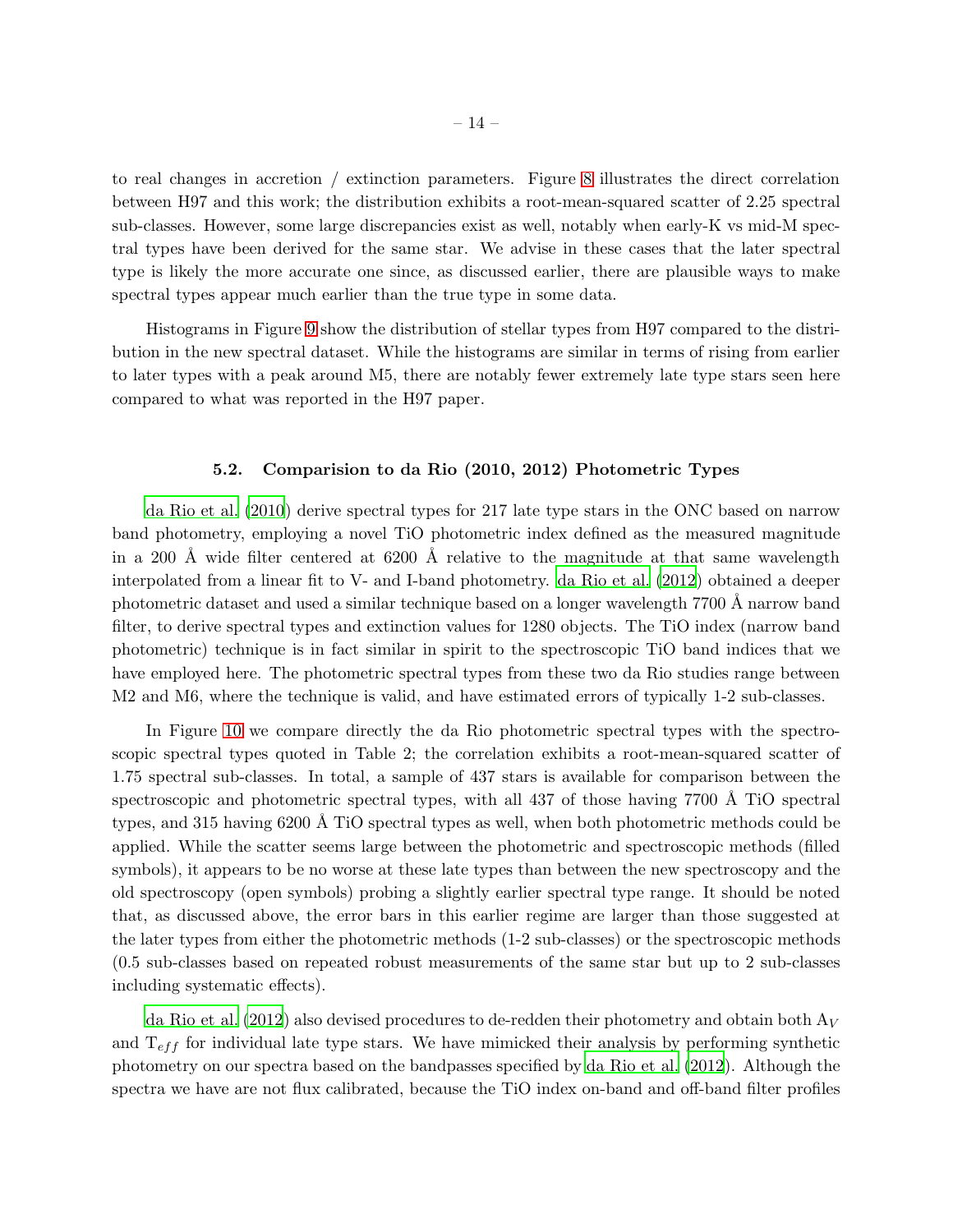to real changes in accretion / extinction parameters. Figure [8](#page-27-0) illustrates the direct correlation between H97 and this work; the distribution exhibits a root-mean-squared scatter of 2.25 spectral sub-classes. However, some large discrepancies exist as well, notably when early-K vs mid-M spectral types have been derived for the same star. We advise in these cases that the later spectral type is likely the more accurate one since, as discussed earlier, there are plausible ways to make spectral types appear much earlier than the true type in some data.

Histograms in Figure [9](#page-28-0) show the distribution of stellar types from H97 compared to the distribution in the new spectral dataset. While the histograms are similar in terms of rising from earlier to later types with a peak around M5, there are notably fewer extremely late type stars seen here compared to what was reported in the H97 paper.

# 5.2. Comparision to da Rio (2010, 2012) Photometric Types

[da Rio et al. \(2010](#page-19-0)) derive spectral types for 217 late type stars in the ONC based on narrow band photometry, employing a novel TiO photometric index defined as the measured magnitude in a 200 Å wide filter centered at  $6200$  Å relative to the magnitude at that same wavelength interpolated from a linear fit to V- and I-band photometry. da [Rio et al. \(2012](#page-19-1)) obtained a deeper photometric dataset and used a similar technique based on a longer wavelength 7700 Å narrow band filter, to derive spectral types and extinction values for 1280 objects. The TiO index (narrow band photometric) technique is in fact similar in spirit to the spectroscopic TiO band indices that we have employed here. The photometric spectral types from these two da Rio studies range between M2 and M6, where the technique is valid, and have estimated errors of typically 1-2 sub-classes.

In Figure [10](#page-29-0) we compare directly the da Rio photometric spectral types with the spectroscopic spectral types quoted in Table 2; the correlation exhibits a root-mean-squared scatter of 1.75 spectral sub-classes. In total, a sample of 437 stars is available for comparison between the spectroscopic and photometric spectral types, with all 437 of those having 7700 Å TiO spectral types, and 315 having 6200 Å TiO spectral types as well, when both photometric methods could be applied. While the scatter seems large between the photometric and spectroscopic methods (filled symbols), it appears to be no worse at these late types than between the new spectroscopy and the old spectroscopy (open symbols) probing a slightly earlier spectral type range. It should be noted that, as discussed above, the error bars in this earlier regime are larger than those suggested at the later types from either the photometric methods (1-2 sub-classes) or the spectroscopic methods (0.5 sub-classes based on repeated robust measurements of the same star but up to 2 sub-classes including systematic effects).

[da Rio et al. \(2012](#page-19-1)) also devised procedures to de-redden their photometry and obtain both  $A_V$ and  $T_{eff}$  for individual late type stars. We have mimicked their analysis by performing synthetic photometry on our spectra based on the bandpasses specified by [da Rio et al. \(2012](#page-19-1)). Although the spectra we have are not flux calibrated, because the TiO index on-band and off-band filter profiles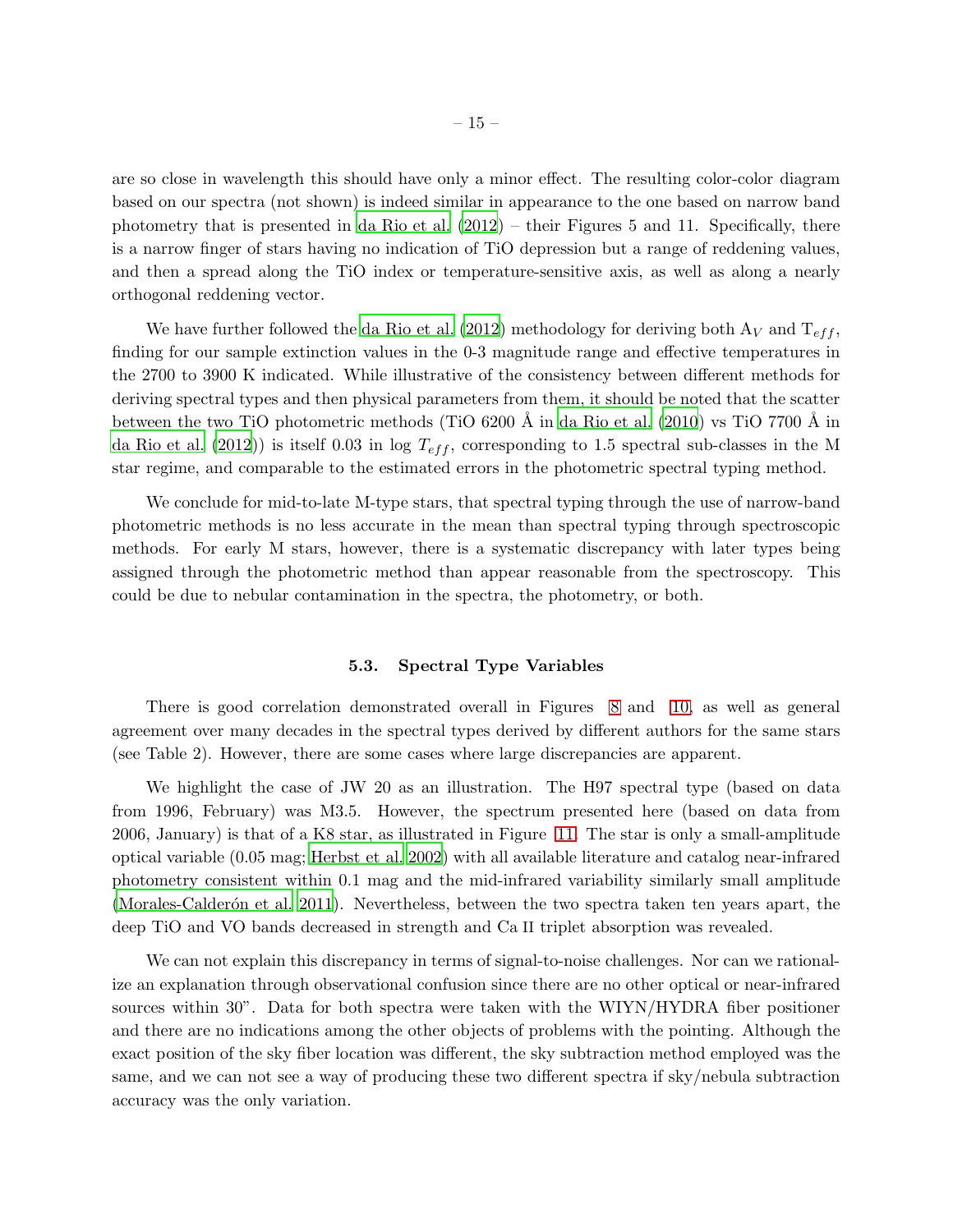are so close in wavelength this should have only a minor effect. The resulting color-color diagram based on our spectra (not shown) is indeed similar in appearance to the one based on narrow band photometry that is presented in [da Rio et al. \(2012\)](#page-19-1) – their Figures 5 and 11. Specifically, there is a narrow finger of stars having no indication of TiO depression but a range of reddening values, and then a spread along the TiO index or temperature-sensitive axis, as well as along a nearly orthogonal reddening vector.

We have further followed the [da Rio et al. \(2012](#page-19-1)) methodology for deriving both  $A_V$  and  $T_{eff}$ , finding for our sample extinction values in the 0-3 magnitude range and effective temperatures in the 2700 to 3900 K indicated. While illustrative of the consistency between different methods for deriving spectral types and then physical parameters from them, it should be noted that the scatter between the two TiO photometric methods (TiO  $6200 \text{ Å}$  in [da Rio et al. \(2010\)](#page-19-0) vs TiO 7700 Å in [da Rio et al. \(2012\)](#page-19-1)) is itself 0.03 in log  $T_{eff}$ , corresponding to 1.5 spectral sub-classes in the M star regime, and comparable to the estimated errors in the photometric spectral typing method.

We conclude for mid-to-late M-type stars, that spectral typing through the use of narrow-band photometric methods is no less accurate in the mean than spectral typing through spectroscopic methods. For early M stars, however, there is a systematic discrepancy with later types being assigned through the photometric method than appear reasonable from the spectroscopy. This could be due to nebular contamination in the spectra, the photometry, or both.

## 5.3. Spectral Type Variables

There is good correlation demonstrated overall in Figures [8](#page-27-0) and [10,](#page-29-0) as well as general agreement over many decades in the spectral types derived by different authors for the same stars (see Table 2). However, there are some cases where large discrepancies are apparent.

We highlight the case of JW 20 as an illustration. The H97 spectral type (based on data from 1996, February) was M3.5. However, the spectrum presented here (based on data from 2006, January) is that of a K8 star, as illustrated in Figure [11.](#page-30-0) The star is only a small-amplitude optical variable (0.05 mag; [Herbst et al. 2002](#page-17-13)) with all available literature and catalog near-infrared photometry consistent within 0.1 mag and the mid-infrared variability similarly small amplitude (Morales-Calderón et al. 2011). Nevertheless, between the two spectra taken ten years apart, the deep TiO and VO bands decreased in strength and Ca II triplet absorption was revealed.

We can not explain this discrepancy in terms of signal-to-noise challenges. Nor can we rationalize an explanation through observational confusion since there are no other optical or near-infrared sources within 30". Data for both spectra were taken with the WIYN/HYDRA fiber positioner and there are no indications among the other objects of problems with the pointing. Although the exact position of the sky fiber location was different, the sky subtraction method employed was the same, and we can not see a way of producing these two different spectra if sky/nebula subtraction accuracy was the only variation.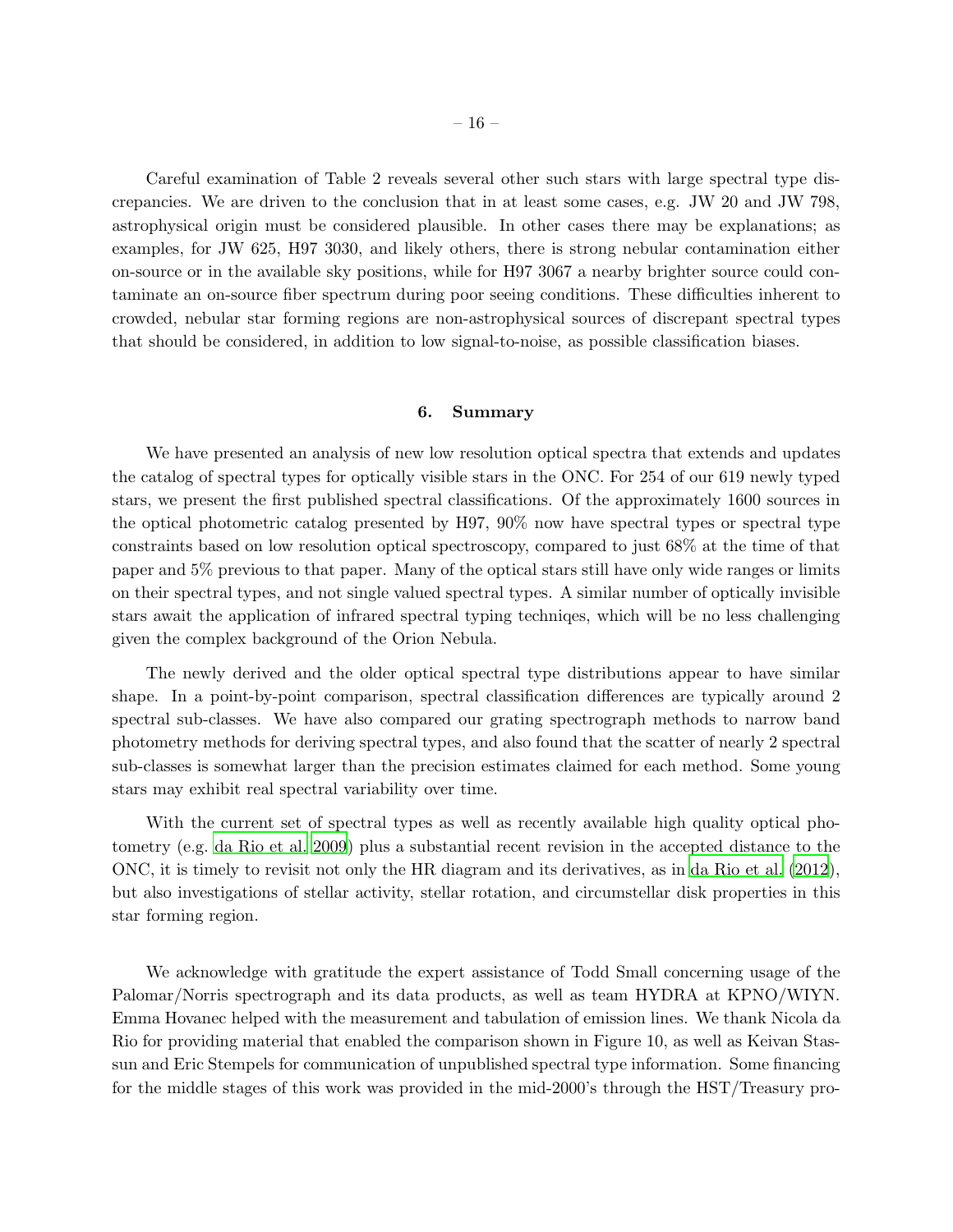Careful examination of Table 2 reveals several other such stars with large spectral type discrepancies. We are driven to the conclusion that in at least some cases, e.g. JW 20 and JW 798, astrophysical origin must be considered plausible. In other cases there may be explanations; as examples, for JW 625, H97 3030, and likely others, there is strong nebular contamination either on-source or in the available sky positions, while for H97 3067 a nearby brighter source could contaminate an on-source fiber spectrum during poor seeing conditions. These difficulties inherent to crowded, nebular star forming regions are non-astrophysical sources of discrepant spectral types that should be considered, in addition to low signal-to-noise, as possible classification biases.

## 6. Summary

We have presented an analysis of new low resolution optical spectra that extends and updates the catalog of spectral types for optically visible stars in the ONC. For 254 of our 619 newly typed stars, we present the first published spectral classifications. Of the approximately 1600 sources in the optical photometric catalog presented by H97, 90% now have spectral types or spectral type constraints based on low resolution optical spectroscopy, compared to just 68% at the time of that paper and 5% previous to that paper. Many of the optical stars still have only wide ranges or limits on their spectral types, and not single valued spectral types. A similar number of optically invisible stars await the application of infrared spectral typing techniqes, which will be no less challenging given the complex background of the Orion Nebula.

The newly derived and the older optical spectral type distributions appear to have similar shape. In a point-by-point comparison, spectral classification differences are typically around 2 spectral sub-classes. We have also compared our grating spectrograph methods to narrow band photometry methods for deriving spectral types, and also found that the scatter of nearly 2 spectral sub-classes is somewhat larger than the precision estimates claimed for each method. Some young stars may exhibit real spectral variability over time.

With the current set of spectral types as well as recently available high quality optical photometry (e.g. [da Rio et al. 2009](#page-19-14)) plus a substantial recent revision in the accepted distance to the ONC, it is timely to revisit not only the HR diagram and its derivatives, as in [da Rio et al. \(2012](#page-19-1)), but also investigations of stellar activity, stellar rotation, and circumstellar disk properties in this star forming region.

We acknowledge with gratitude the expert assistance of Todd Small concerning usage of the Palomar/Norris spectrograph and its data products, as well as team HYDRA at KPNO/WIYN. Emma Hovanec helped with the measurement and tabulation of emission lines. We thank Nicola da Rio for providing material that enabled the comparison shown in Figure 10, as well as Keivan Stassun and Eric Stempels for communication of unpublished spectral type information. Some financing for the middle stages of this work was provided in the mid-2000's through the HST/Treasury pro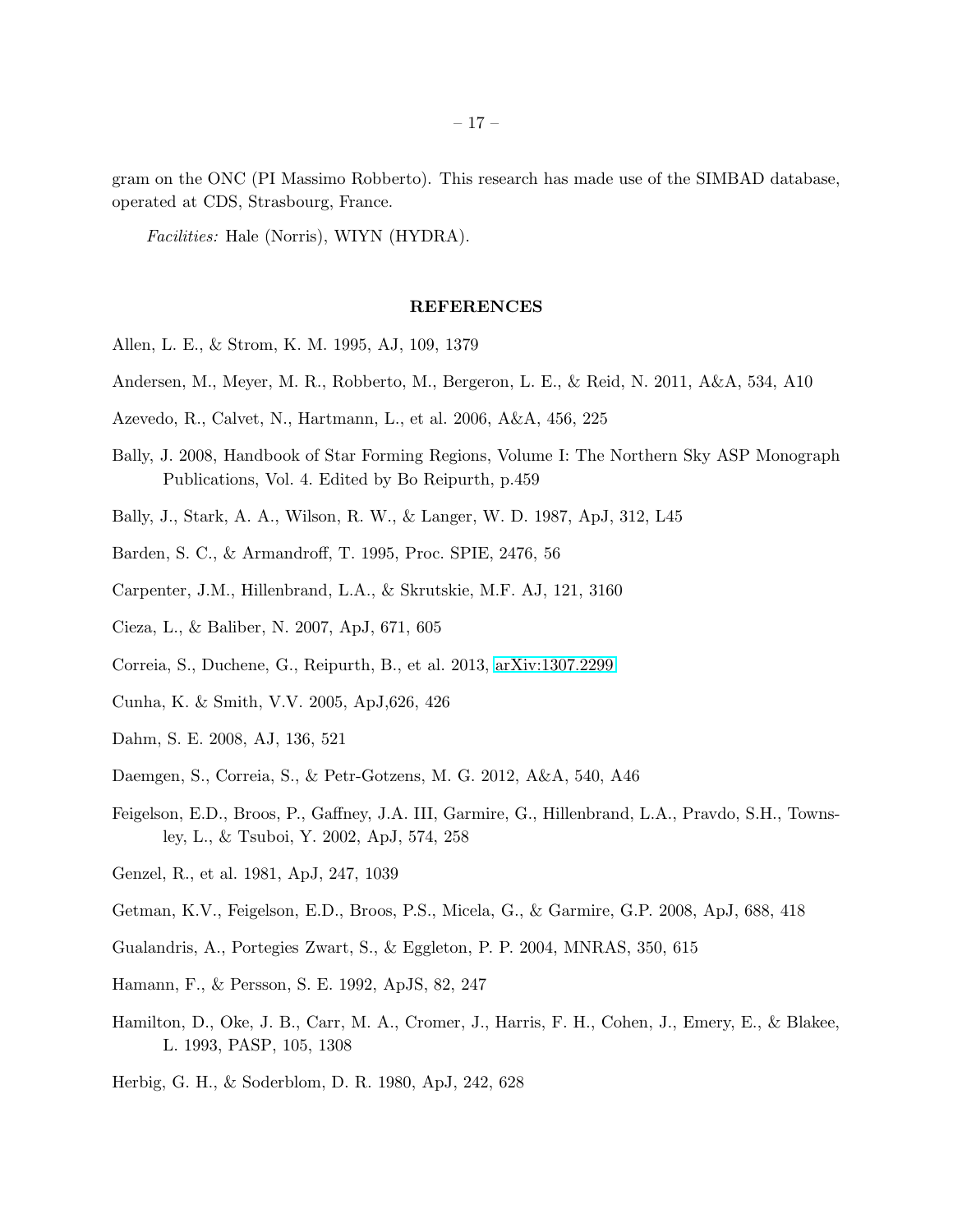gram on the ONC (PI Massimo Robberto). This research has made use of the SIMBAD database, operated at CDS, Strasbourg, France.

Facilities: Hale (Norris), WIYN (HYDRA).

### REFERENCES

- <span id="page-16-8"></span>Allen, L. E., & Strom, K. M. 1995, AJ, 109, 1379
- <span id="page-16-2"></span>Andersen, M., Meyer, M. R., Robberto, M., Bergeron, L. E., & Reid, N. 2011, A&A, 534, A10
- <span id="page-16-11"></span>Azevedo, R., Calvet, N., Hartmann, L., et al. 2006, A&A, 456, 225
- <span id="page-16-0"></span>Bally, J. 2008, Handbook of Star Forming Regions, Volume I: The Northern Sky ASP Monograph Publications, Vol. 4. Edited by Bo Reipurth, p.459
- <span id="page-16-1"></span>Bally, J., Stark, A. A., Wilson, R. W., & Langer, W. D. 1987, ApJ, 312, L45
- Barden, S. C., & Armandroff, T. 1995, Proc. SPIE, 2476, 56
- <span id="page-16-3"></span>Carpenter, J.M., Hillenbrand, L.A., & Skrutskie, M.F. AJ, 121, 3160
- <span id="page-16-4"></span>Cieza, L., & Baliber, N. 2007, ApJ, 671, 605
- Correia, S., Duchene, G., Reipurth, B., et al. 2013, [arXiv:1307.2299](http://arxiv.org/abs/1307.2299)
- <span id="page-16-7"></span>Cunha, K. & Smith, V.V. 2005, ApJ,626, 426
- Dahm, S. E. 2008, AJ, 136, 521
- Daemgen, S., Correia, S., & Petr-Gotzens, M. G. 2012, A&A, 540, A46
- <span id="page-16-5"></span>Feigelson, E.D., Broos, P., Gaffney, J.A. III, Garmire, G., Hillenbrand, L.A., Pravdo, S.H., Townsley, L., & Tsuboi, Y. 2002, ApJ, 574, 258
- Genzel, R., et al. 1981, ApJ, 247, 1039
- <span id="page-16-6"></span>Getman, K.V., Feigelson, E.D., Broos, P.S., Micela, G., & Garmire, G.P. 2008, ApJ, 688, 418
- Gualandris, A., Portegies Zwart, S., & Eggleton, P. P. 2004, MNRAS, 350, 615
- <span id="page-16-10"></span>Hamann, F., & Persson, S. E. 1992, ApJS, 82, 247
- Hamilton, D., Oke, J. B., Carr, M. A., Cromer, J., Harris, F. H., Cohen, J., Emery, E., & Blakee, L. 1993, PASP, 105, 1308
- <span id="page-16-9"></span>Herbig, G. H., & Soderblom, D. R. 1980, ApJ, 242, 628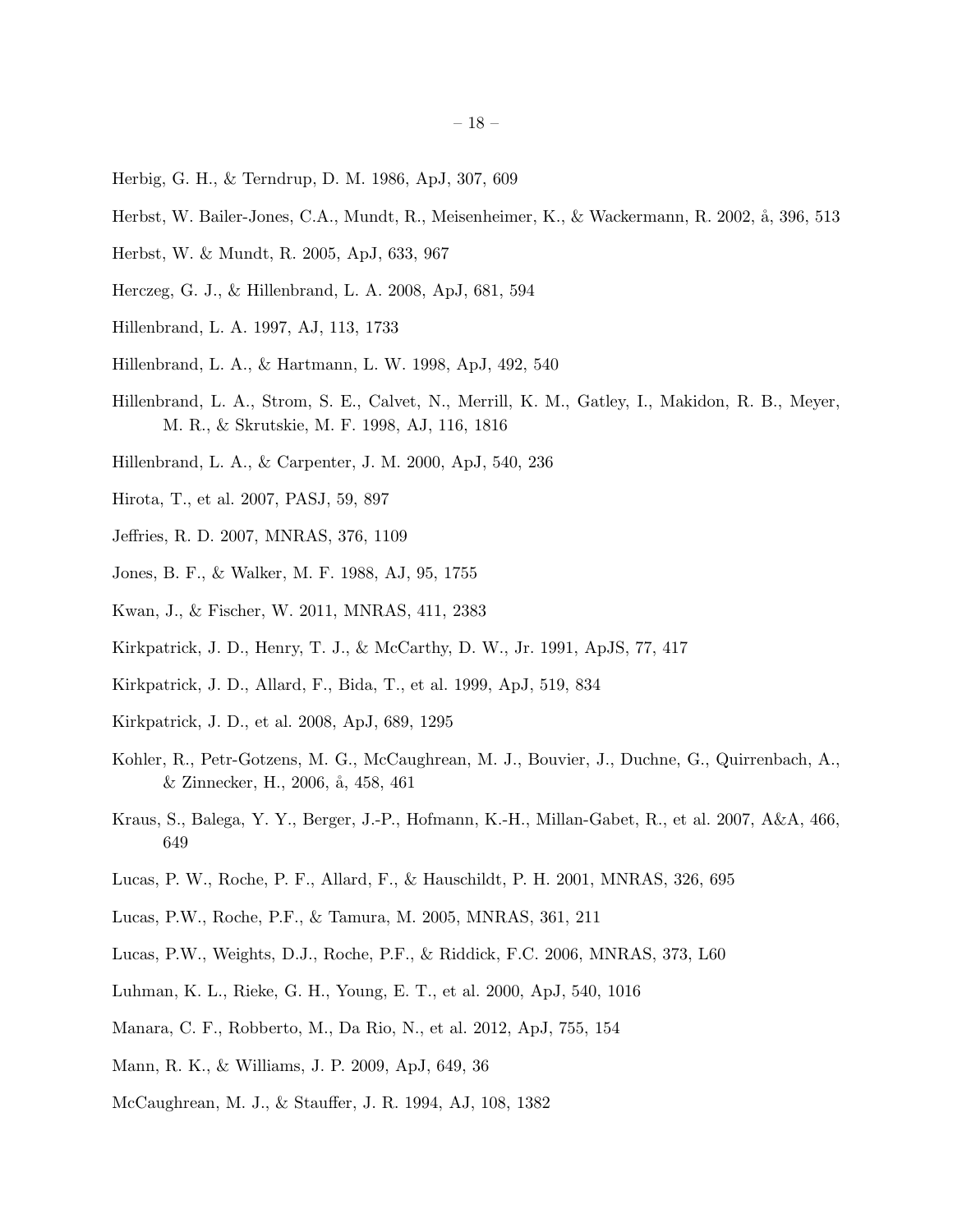- <span id="page-17-5"></span>Herbig, G. H., & Terndrup, D. M. 1986, ApJ, 307, 609
- <span id="page-17-13"></span>Herbst, W. Bailer-Jones, C.A., Mundt, R., Meisenheimer, K., & Wackermann, R. 2002, å, 396, 513
- <span id="page-17-14"></span>Herbst, W. & Mundt, R. 2005, ApJ, 633, 967
- Herczeg, G. J., & Hillenbrand, L. A. 2008, ApJ, 681, 594
- <span id="page-17-0"></span>Hillenbrand, L. A. 1997, AJ, 113, 1733
- <span id="page-17-7"></span>Hillenbrand, L. A., & Hartmann, L. W. 1998, ApJ, 492, 540
- <span id="page-17-19"></span>Hillenbrand, L. A., Strom, S. E., Calvet, N., Merrill, K. M., Gatley, I., Makidon, R. B., Meyer, M. R., & Skrutskie, M. F. 1998, AJ, 116, 1816
- <span id="page-17-9"></span>Hillenbrand, L. A., & Carpenter, J. M. 2000, ApJ, 540, 236
- <span id="page-17-4"></span>Hirota, T., et al. 2007, PASJ, 59, 897
- <span id="page-17-2"></span>Jeffries, R. D. 2007, MNRAS, 376, 1109
- <span id="page-17-1"></span>Jones, B. F., & Walker, M. F. 1988, AJ, 95, 1755
- <span id="page-17-20"></span>Kwan, J., & Fischer, W. 2011, MNRAS, 411, 2383
- <span id="page-17-16"></span>Kirkpatrick, J. D., Henry, T. J., & McCarthy, D. W., Jr. 1991, ApJS, 77, 417
- <span id="page-17-17"></span>Kirkpatrick, J. D., Allard, F., Bida, T., et al. 1999, ApJ, 519, 834
- <span id="page-17-18"></span>Kirkpatrick, J. D., et al. 2008, ApJ, 689, 1295
- <span id="page-17-15"></span>Kohler, R., Petr-Gotzens, M. G., McCaughrean, M. J., Bouvier, J., Duchne, G., Quirrenbach, A., & Zinnecker, H., 2006, å, 458, 461
- <span id="page-17-3"></span>Kraus, S., Balega, Y. Y., Berger, J.-P., Hofmann, K.-H., Millan-Gabet, R., et al. 2007, A&A, 466, 649
- Lucas, P. W., Roche, P. F., Allard, F., & Hauschildt, P. H. 2001, MNRAS, 326, 695
- <span id="page-17-10"></span>Lucas, P.W., Roche, P.F., & Tamura, M. 2005, MNRAS, 361, 211
- Lucas, P.W., Weights, D.J., Roche, P.F., & Riddick, F.C. 2006, MNRAS, 373, L60
- <span id="page-17-8"></span>Luhman, K. L., Rieke, G. H., Young, E. T., et al. 2000, ApJ, 540, 1016
- <span id="page-17-12"></span>Manara, C. F., Robberto, M., Da Rio, N., et al. 2012, ApJ, 755, 154
- <span id="page-17-11"></span>Mann, R. K., & Williams, J. P. 2009, ApJ, 649, 36
- <span id="page-17-6"></span>McCaughrean, M. J., & Stauffer, J. R. 1994, AJ, 108, 1382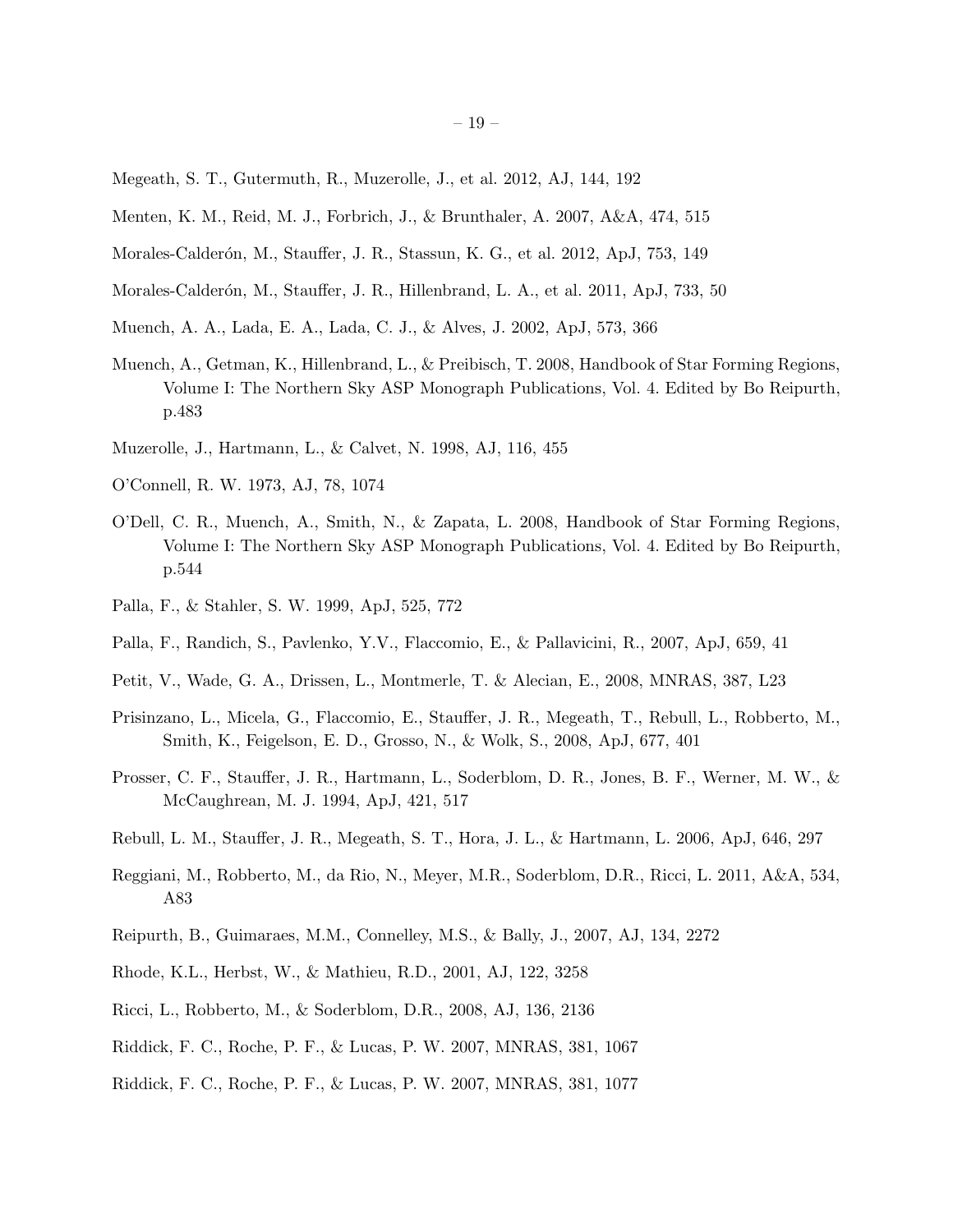- <span id="page-18-6"></span>Megeath, S. T., Gutermuth, R., Muzerolle, J., et al. 2012, AJ, 144, 192
- <span id="page-18-0"></span>Menten, K. M., Reid, M. J., Forbrich, J., & Brunthaler, A. 2007, A&A, 474, 515
- <span id="page-18-8"></span>Morales-Calderón, M., Stauffer, J. R., Stassun, K. G., et al. 2012, ApJ, 753, 149
- <span id="page-18-15"></span>Morales-Calderón, M., Stauffer, J. R., Hillenbrand, L. A., et al. 2011, ApJ, 733, 50
- <span id="page-18-3"></span>Muench, A. A., Lada, E. A., Lada, C. J., & Alves, J. 2002, ApJ, 573, 366
- <span id="page-18-4"></span>Muench, A., Getman, K., Hillenbrand, L., & Preibisch, T. 2008, Handbook of Star Forming Regions, Volume I: The Northern Sky ASP Monograph Publications, Vol. 4. Edited by Bo Reipurth, p.483
- Muzerolle, J., Hartmann, L., & Calvet, N. 1998, AJ, 116, 455
- O'Connell, R. W. 1973, AJ, 78, 1074
- <span id="page-18-5"></span>O'Dell, C. R., Muench, A., Smith, N., & Zapata, L. 2008, Handbook of Star Forming Regions, Volume I: The Northern Sky ASP Monograph Publications, Vol. 4. Edited by Bo Reipurth, p.544
- Palla, F., & Stahler, S. W. 1999, ApJ, 525, 772
- <span id="page-18-11"></span>Palla, F., Randich, S., Pavlenko, Y.V., Flaccomio, E., & Pallavicini, R., 2007, ApJ, 659, 41
- <span id="page-18-13"></span>Petit, V., Wade, G. A., Drissen, L., Montmerle, T. & Alecian, E., 2008, MNRAS, 387, L23
- <span id="page-18-12"></span>Prisinzano, L., Micela, G., Flaccomio, E., Stauffer, J. R., Megeath, T., Rebull, L., Robberto, M., Smith, K., Feigelson, E. D., Grosso, N., & Wolk, S., 2008, ApJ, 677, 401
- <span id="page-18-17"></span>Prosser, C. F., Stauffer, J. R., Hartmann, L., Soderblom, D. R., Jones, B. F., Werner, M. W., & McCaughrean, M. J. 1994, ApJ, 421, 517
- <span id="page-18-10"></span>Rebull, L. M., Stauffer, J. R., Megeath, S. T., Hora, J. L., & Hartmann, L. 2006, ApJ, 646, 297
- <span id="page-18-1"></span>Reggiani, M., Robberto, M., da Rio, N., Meyer, M.R., Soderblom, D.R., Ricci, L. 2011, A&A, 534, A83
- <span id="page-18-14"></span>Reipurth, B., Guimaraes, M.M., Connelley, M.S., & Bally, J., 2007, AJ, 134, 2272
- <span id="page-18-9"></span>Rhode, K.L., Herbst, W., & Mathieu, R.D., 2001, AJ, 122, 3258
- <span id="page-18-7"></span>Ricci, L., Robberto, M., & Soderblom, D.R., 2008, AJ, 136, 2136
- <span id="page-18-16"></span>Riddick, F. C., Roche, P. F., & Lucas, P. W. 2007, MNRAS, 381, 1067
- <span id="page-18-2"></span>Riddick, F. C., Roche, P. F., & Lucas, P. W. 2007, MNRAS, 381, 1077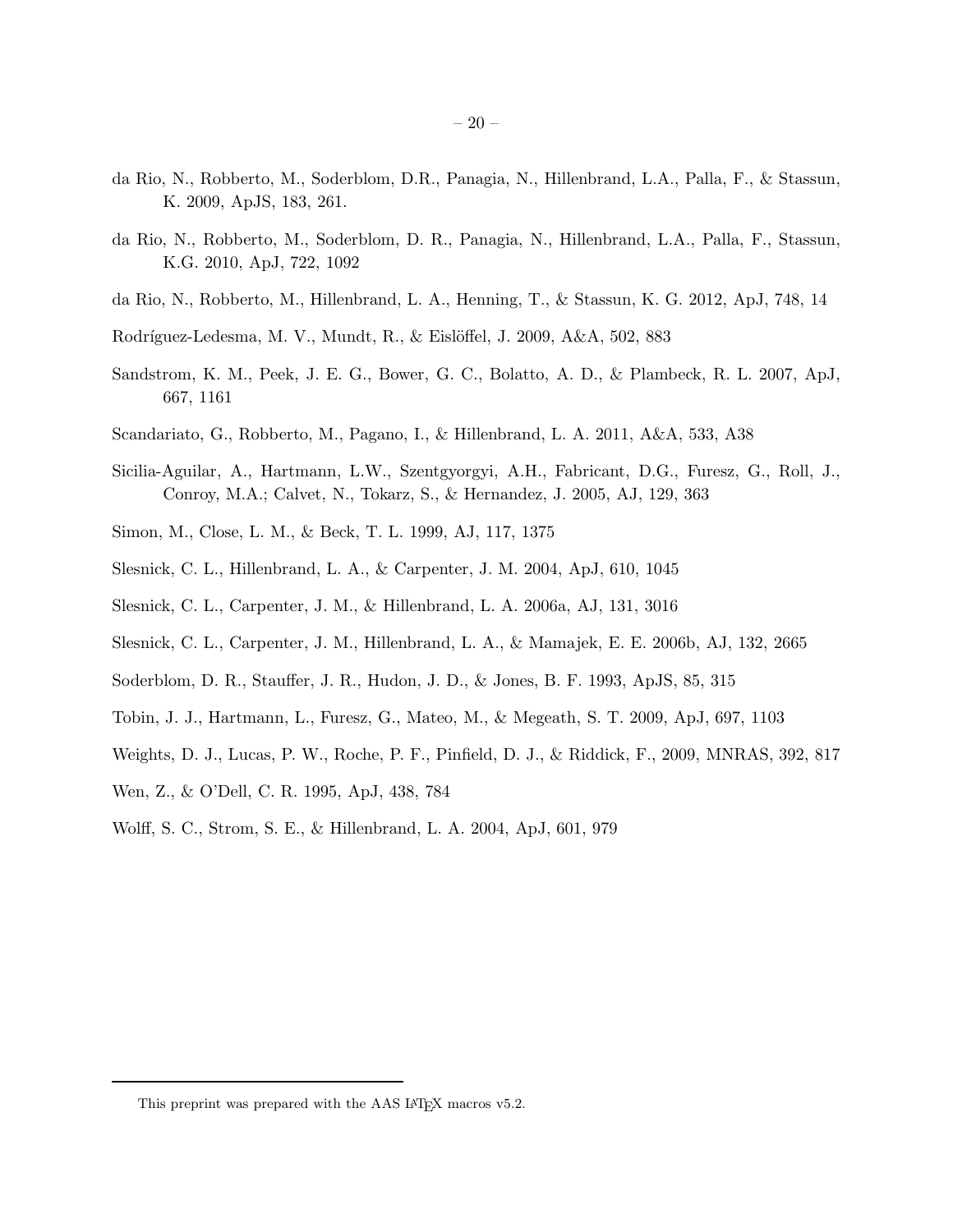- <span id="page-19-14"></span>da Rio, N., Robberto, M., Soderblom, D.R., Panagia, N., Hillenbrand, L.A., Palla, F., & Stassun, K. 2009, ApJS, 183, 261.
- <span id="page-19-0"></span>da Rio, N., Robberto, M., Soderblom, D. R., Panagia, N., Hillenbrand, L.A., Palla, F., Stassun, K.G. 2010, ApJ, 722, 1092
- <span id="page-19-1"></span>da Rio, N., Robberto, M., Hillenbrand, L. A., Henning, T., & Stassun, K. G. 2012, ApJ, 748, 14
- Rodríguez-Ledesma, M. V., Mundt, R.,  $\&$  Eislöffel, J. 2009, A $\&$ A, 502, 883
- <span id="page-19-5"></span>Sandstrom, K. M., Peek, J. E. G., Bower, G. C., Bolatto, A. D., & Plambeck, R. L. 2007, ApJ, 667, 1161
- <span id="page-19-3"></span>Scandariato, G., Robberto, M., Pagano, I., & Hillenbrand, L. A. 2011, A&A, 533, A38
- <span id="page-19-8"></span>Sicilia-Aguilar, A., Hartmann, L.W., Szentgyorgyi, A.H., Fabricant, D.G., Furesz, G., Roll, J., Conroy, M.A.; Calvet, N., Tokarz, S., & Hernandez, J. 2005, AJ, 129, 363
- <span id="page-19-9"></span>Simon, M., Close, L. M., & Beck, T. L. 1999, AJ, 117, 1375
- <span id="page-19-6"></span>Slesnick, C. L., Hillenbrand, L. A., & Carpenter, J. M. 2004, ApJ, 610, 1045
- <span id="page-19-10"></span>Slesnick, C. L., Carpenter, J. M., & Hillenbrand, L. A. 2006a, AJ, 131, 3016
- <span id="page-19-11"></span>Slesnick, C. L., Carpenter, J. M., Hillenbrand, L. A., & Mamajek, E. E. 2006b, AJ, 132, 2665
- <span id="page-19-12"></span>Soderblom, D. R., Stauffer, J. R., Hudon, J. D., & Jones, B. F. 1993, ApJS, 85, 315
- <span id="page-19-4"></span>Tobin, J. J., Hartmann, L., Furesz, G., Mateo, M., & Megeath, S. T. 2009, ApJ, 697, 1103
- <span id="page-19-7"></span>Weights, D. J., Lucas, P. W., Roche, P. F., Pinfield, D. J., & Riddick, F., 2009, MNRAS, 392, 817
- <span id="page-19-2"></span>Wen, Z., & O'Dell, C. R. 1995, ApJ, 438, 784
- Wolff, S. C., Strom, S. E., & Hillenbrand, L. A. 2004, ApJ, 601, 979

<span id="page-19-13"></span>This preprint was prepared with the AAS IATEX macros v5.2.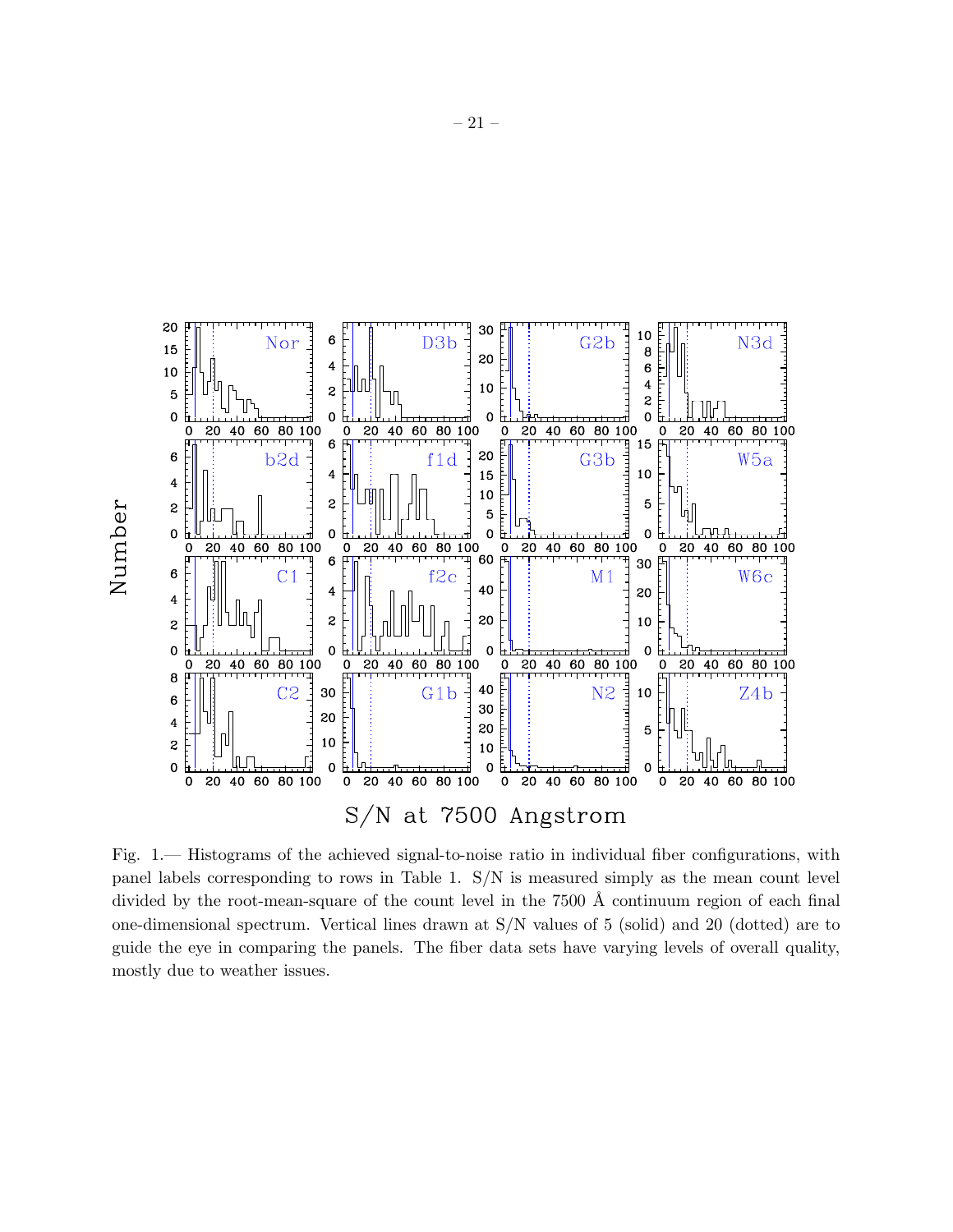

<span id="page-20-0"></span>Fig. 1.— Histograms of the achieved signal-to-noise ratio in individual fiber configurations, with panel labels corresponding to rows in Table 1. S/N is measured simply as the mean count level divided by the root-mean-square of the count level in the  $7500 \text{ Å}$  continuum region of each final one-dimensional spectrum. Vertical lines drawn at S/N values of 5 (solid) and 20 (dotted) are to guide the eye in comparing the panels. The fiber data sets have varying levels of overall quality, mostly due to weather issues.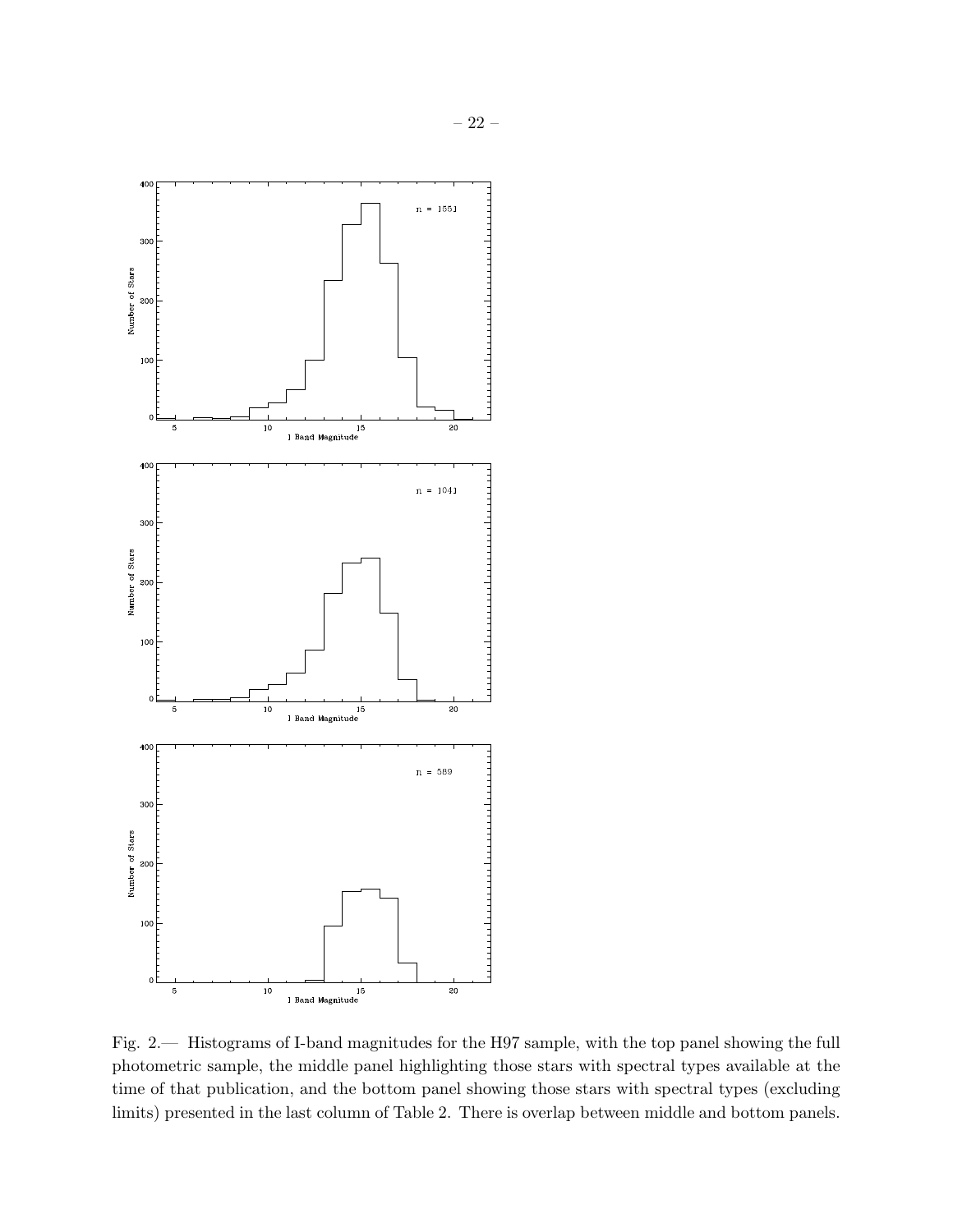

<span id="page-21-0"></span>Fig. 2.— Histograms of I-band magnitudes for the H97 sample, with the top panel showing the full photometric sample, the middle panel highlighting those stars with spectral types available at the time of that publication, and the bottom panel showing those stars with spectral types (excluding limits) presented in the last column of Table 2. There is overlap between middle and bottom panels.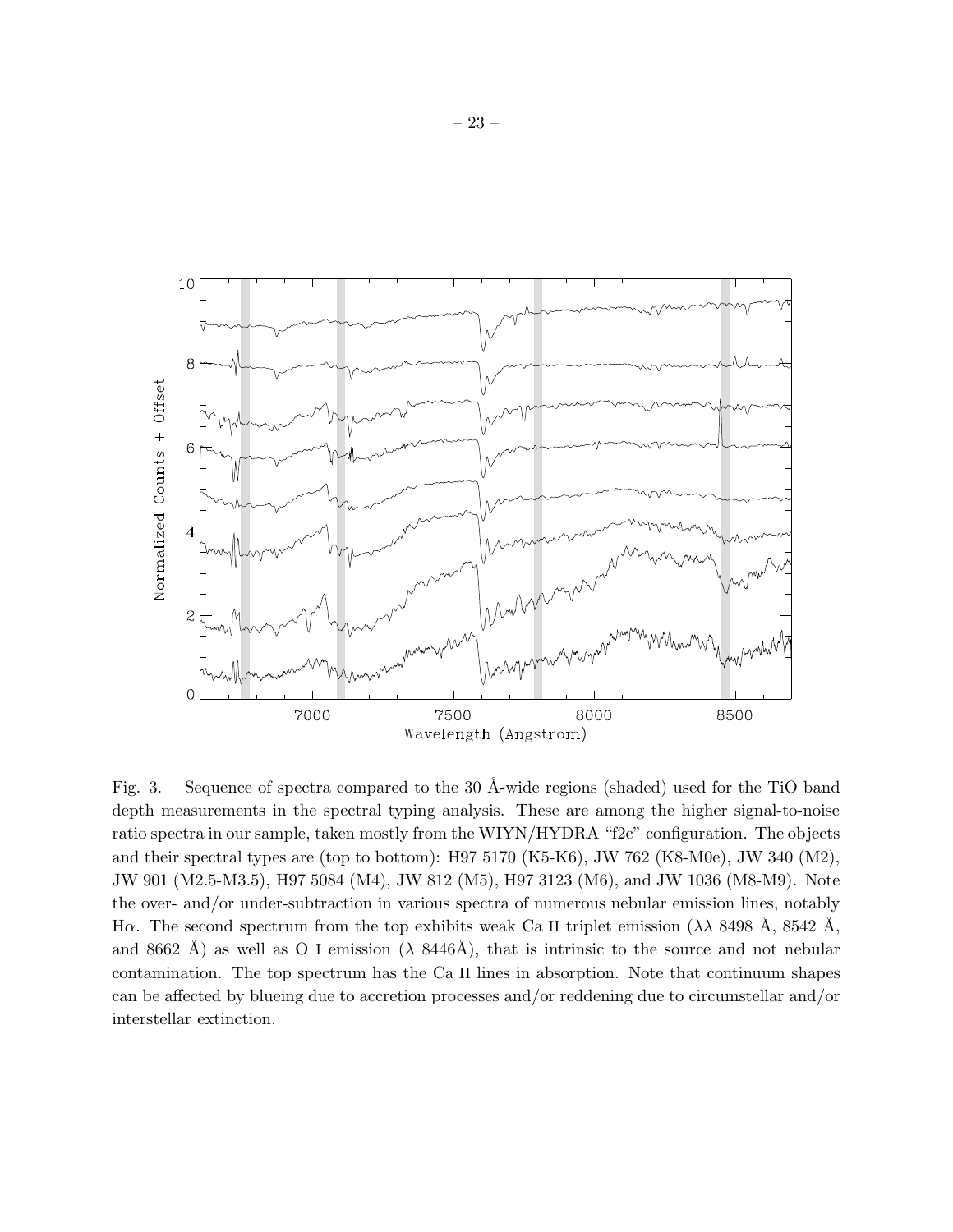

<span id="page-22-0"></span>Fig. 3.— Sequence of spectra compared to the 30 Å-wide regions (shaded) used for the TiO band depth measurements in the spectral typing analysis. These are among the higher signal-to-noise ratio spectra in our sample, taken mostly from the WIYN/HYDRA "f2c" configuration. The objects and their spectral types are (top to bottom): H97 5170 (K5-K6), JW 762 (K8-M0e), JW 340 (M2), JW 901 (M2.5-M3.5), H97 5084 (M4), JW 812 (M5), H97 3123 (M6), and JW 1036 (M8-M9). Note the over- and/or under-subtraction in various spectra of numerous nebular emission lines, notably Hα. The second spectrum from the top exhibits weak Ca II triplet emission ( $\lambda \lambda$  8498 Å, 8542 Å, and 8662 Å) as well as O I emission ( $\lambda$  8446Å), that is intrinsic to the source and not nebular contamination. The top spectrum has the Ca II lines in absorption. Note that continuum shapes can be affected by blueing due to accretion processes and/or reddening due to circumstellar and/or interstellar extinction.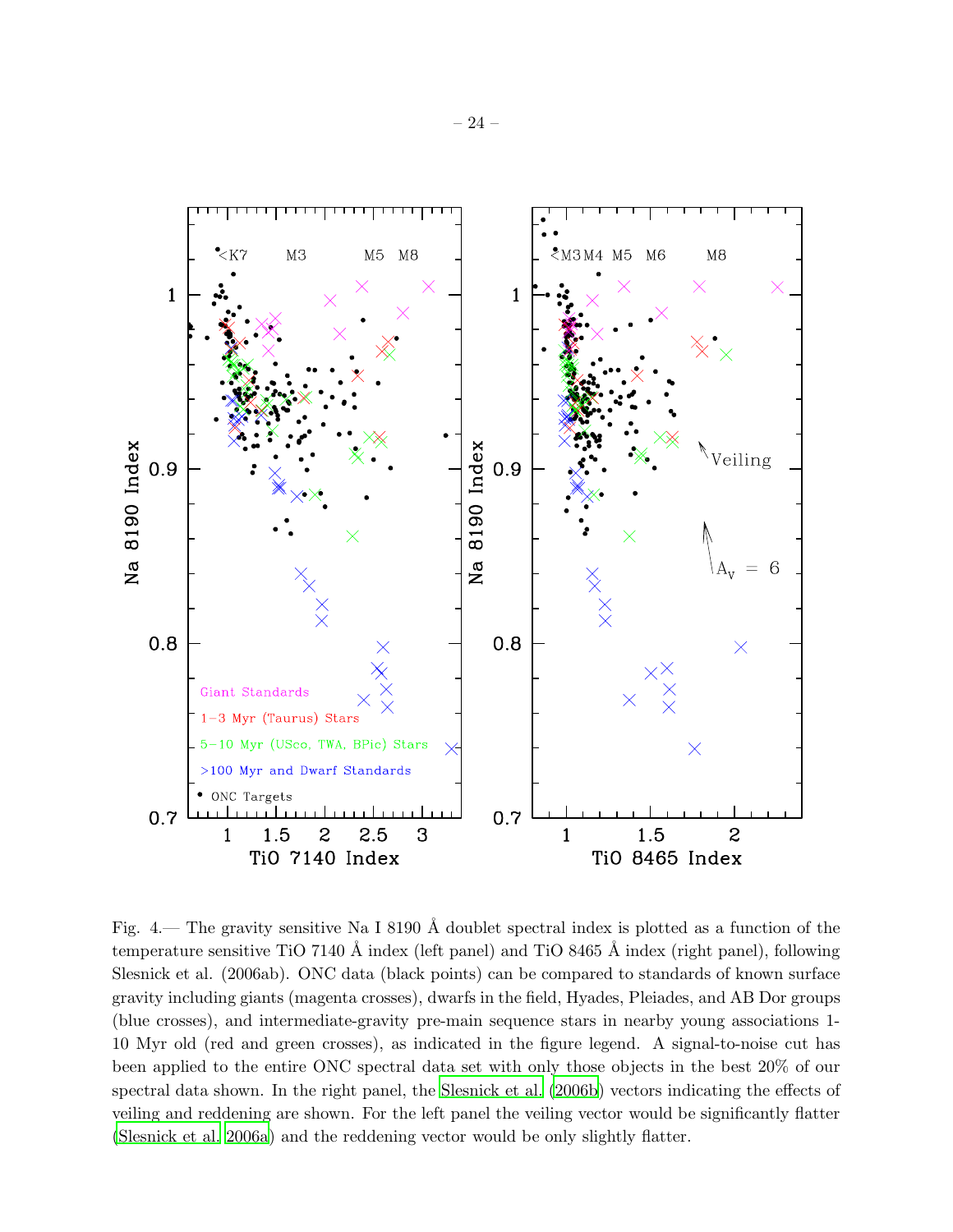

<span id="page-23-0"></span>Fig. 4.— The gravity sensitive Na I 8190  $\AA$  doublet spectral index is plotted as a function of the temperature sensitive TiO 7140 Å index (left panel) and TiO 8465 Å index (right panel), following Slesnick et al. (2006ab). ONC data (black points) can be compared to standards of known surface gravity including giants (magenta crosses), dwarfs in the field, Hyades, Pleiades, and AB Dor groups (blue crosses), and intermediate-gravity pre-main sequence stars in nearby young associations 1- 10 Myr old (red and green crosses), as indicated in the figure legend. A signal-to-noise cut has been applied to the entire ONC spectral data set with only those objects in the best 20% of our spectral data shown. In the right panel, the [Slesnick et al. \(2006b](#page-19-11)) vectors indicating the effects of veiling and reddening are shown. For the left panel the veiling vector would be significantly flatter [\(Slesnick et al. 2006a](#page-19-10)) and the reddening vector would be only slightly flatter.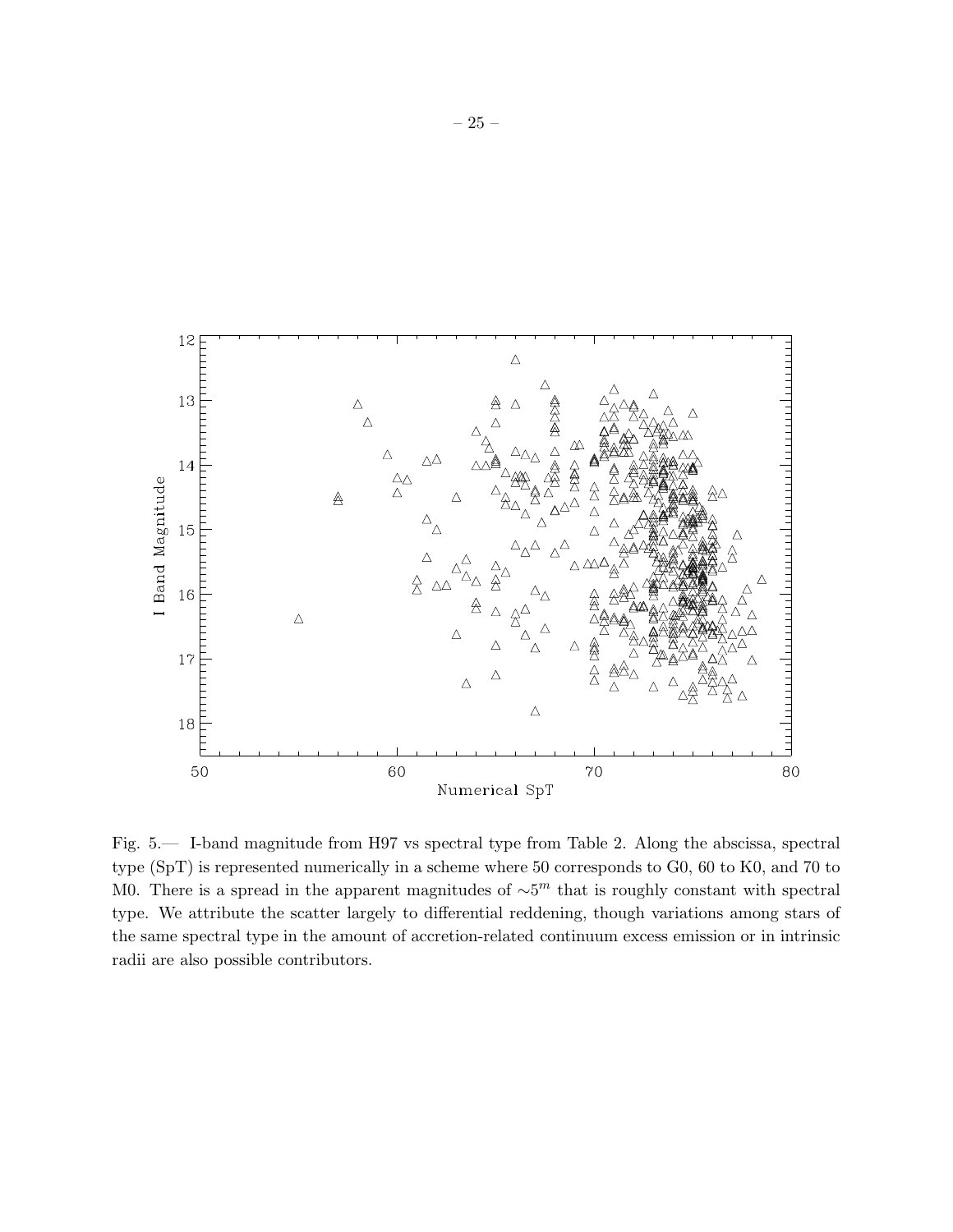

<span id="page-24-0"></span>Fig. 5.— I-band magnitude from H97 vs spectral type from Table 2. Along the abscissa, spectral type (SpT) is represented numerically in a scheme where 50 corresponds to G0, 60 to K0, and 70 to M0. There is a spread in the apparent magnitudes of  $\sim 5^m$  that is roughly constant with spectral type. We attribute the scatter largely to differential reddening, though variations among stars of the same spectral type in the amount of accretion-related continuum excess emission or in intrinsic radii are also possible contributors.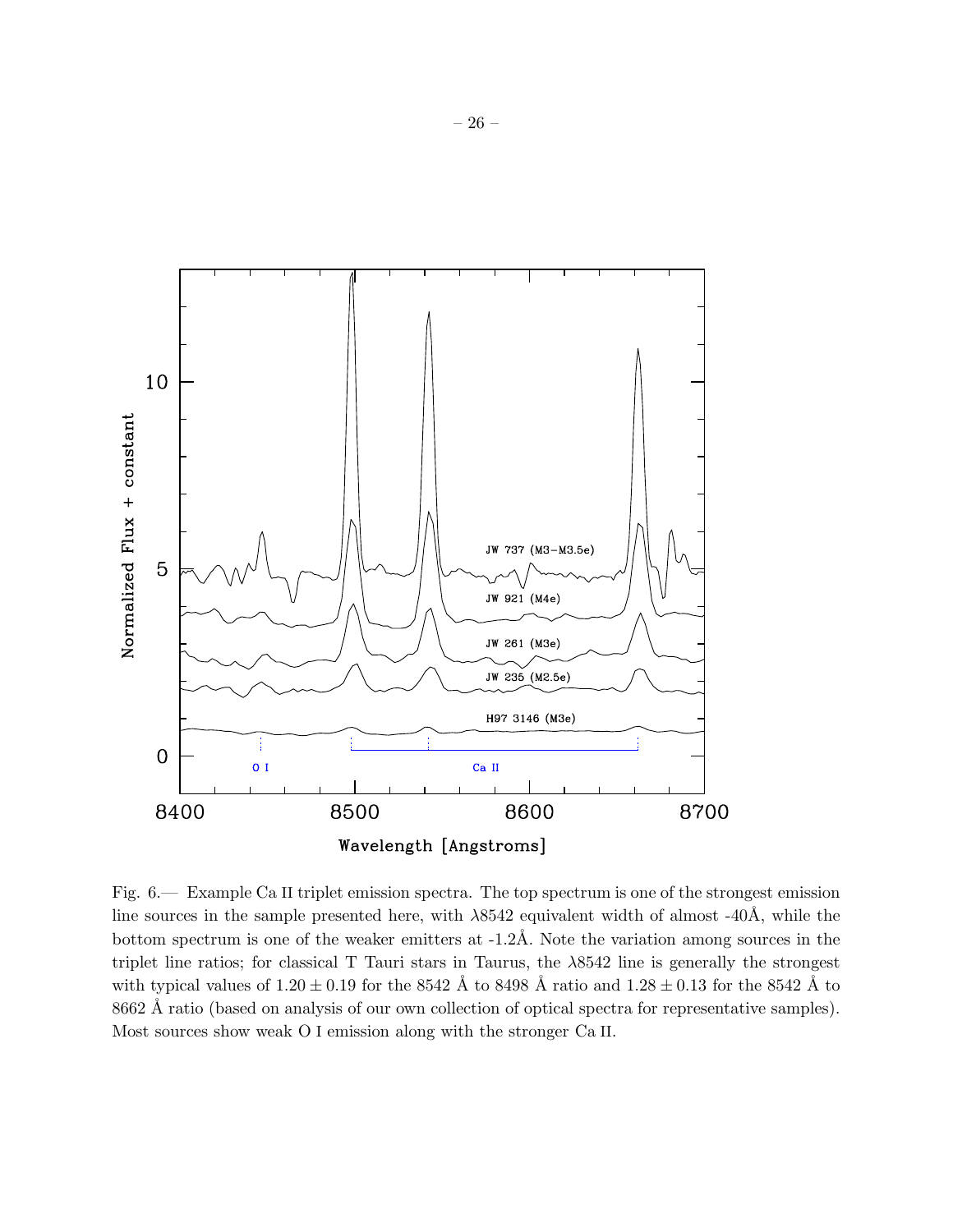

<span id="page-25-0"></span>Fig. 6.— Example Ca II triplet emission spectra. The top spectrum is one of the strongest emission line sources in the sample presented here, with  $\lambda$ 8542 equivalent width of almost -40Å, while the bottom spectrum is one of the weaker emitters at -1.2Å. Note the variation among sources in the triplet line ratios; for classical T Tauri stars in Taurus, the λ8542 line is generally the strongest with typical values of  $1.20 \pm 0.19$  for the 8542 Å to 8498 Å ratio and  $1.28 \pm 0.13$  for the 8542 Å to 8662 Å ratio (based on analysis of our own collection of optical spectra for representative samples). Most sources show weak O I emission along with the stronger Ca II.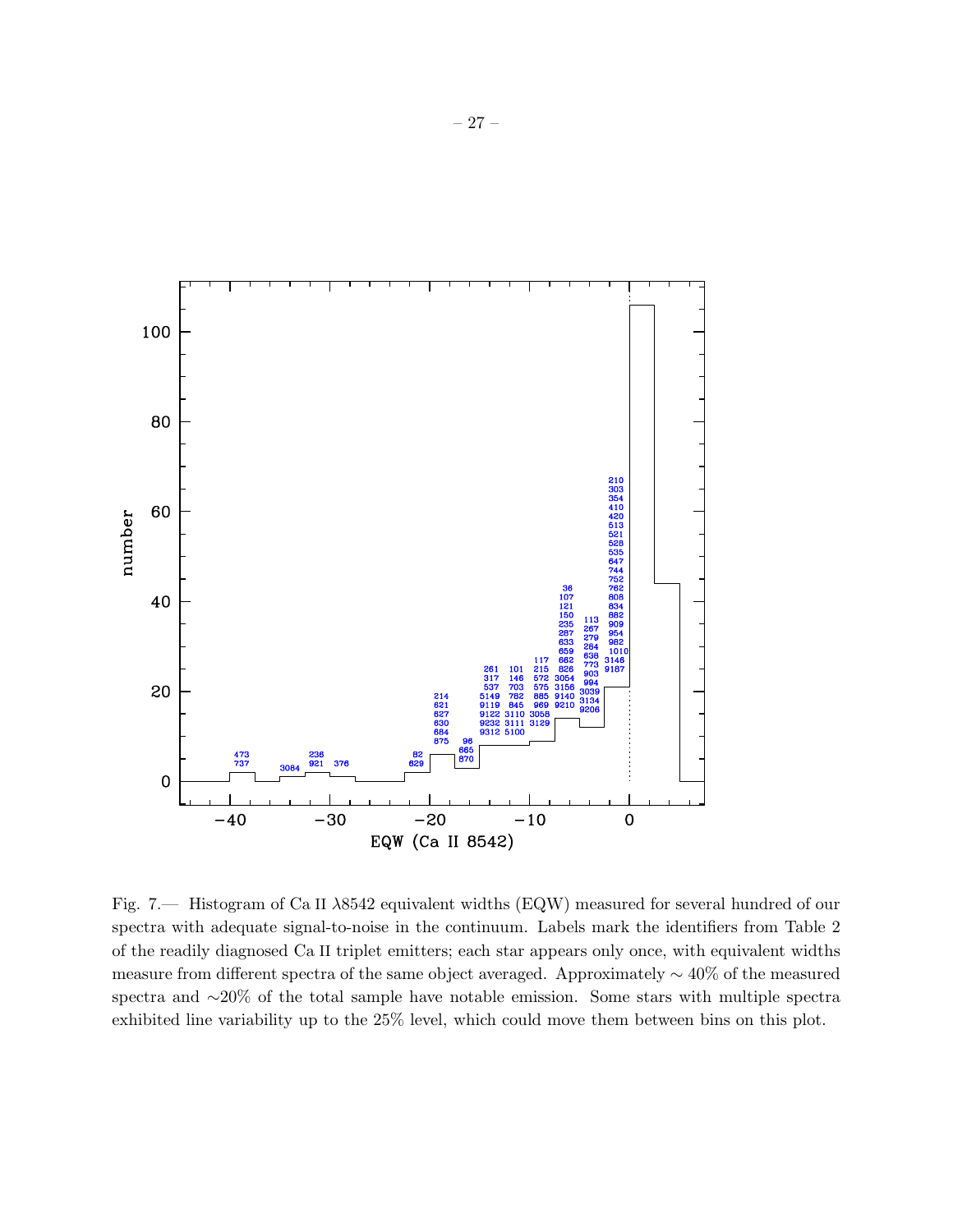

<span id="page-26-0"></span>Fig. 7.— Histogram of Ca II λ8542 equivalent widths (EQW) measured for several hundred of our spectra with adequate signal-to-noise in the continuum. Labels mark the identifiers from Table 2 of the readily diagnosed Ca II triplet emitters; each star appears only once, with equivalent widths measure from different spectra of the same object averaged. Approximately ∼ 40% of the measured spectra and ∼20% of the total sample have notable emission. Some stars with multiple spectra exhibited line variability up to the 25% level, which could move them between bins on this plot.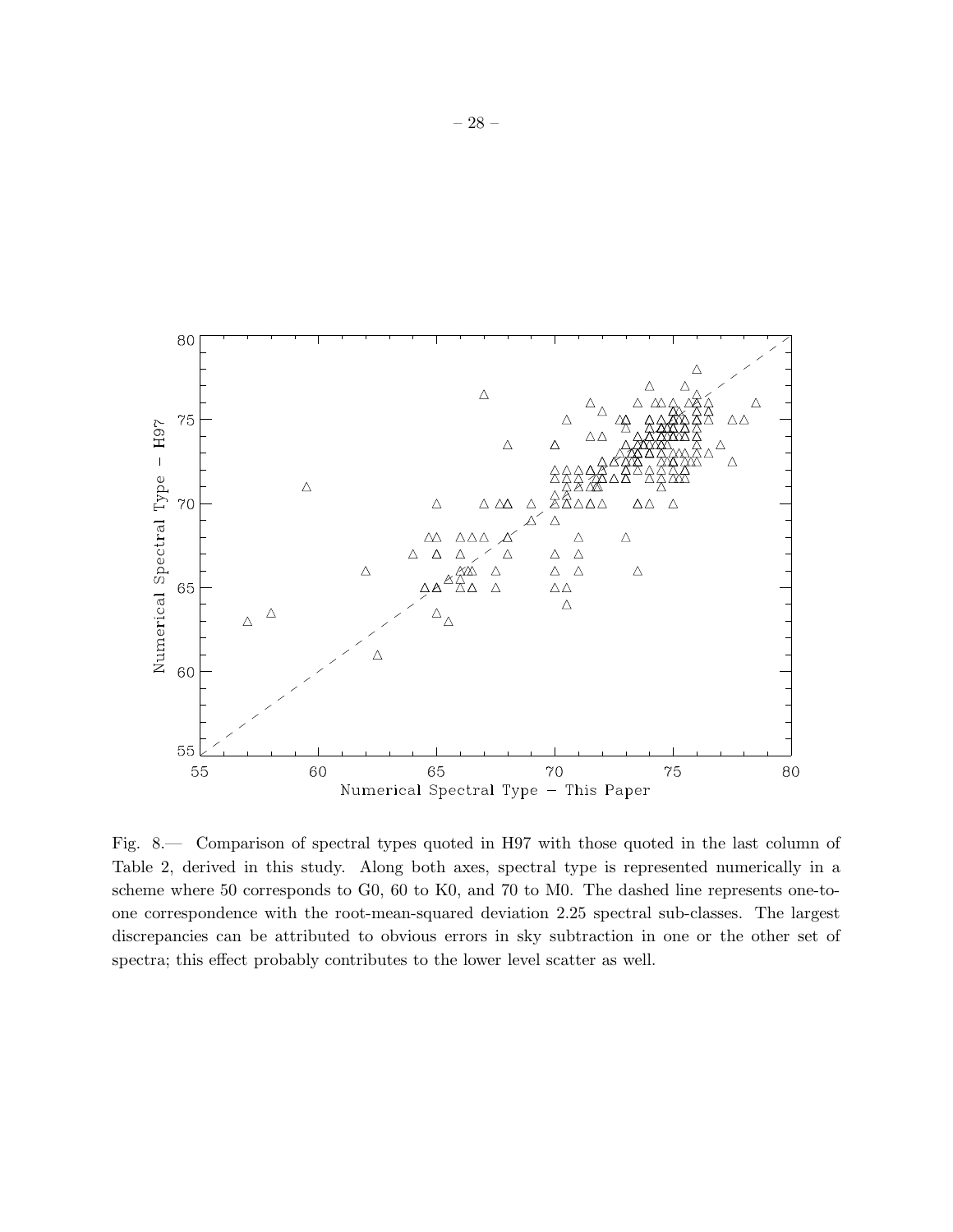

<span id="page-27-0"></span>Fig. 8.— Comparison of spectral types quoted in H97 with those quoted in the last column of Table 2, derived in this study. Along both axes, spectral type is represented numerically in a scheme where 50 corresponds to G0, 60 to K0, and 70 to M0. The dashed line represents one-toone correspondence with the root-mean-squared deviation 2.25 spectral sub-classes. The largest discrepancies can be attributed to obvious errors in sky subtraction in one or the other set of spectra; this effect probably contributes to the lower level scatter as well.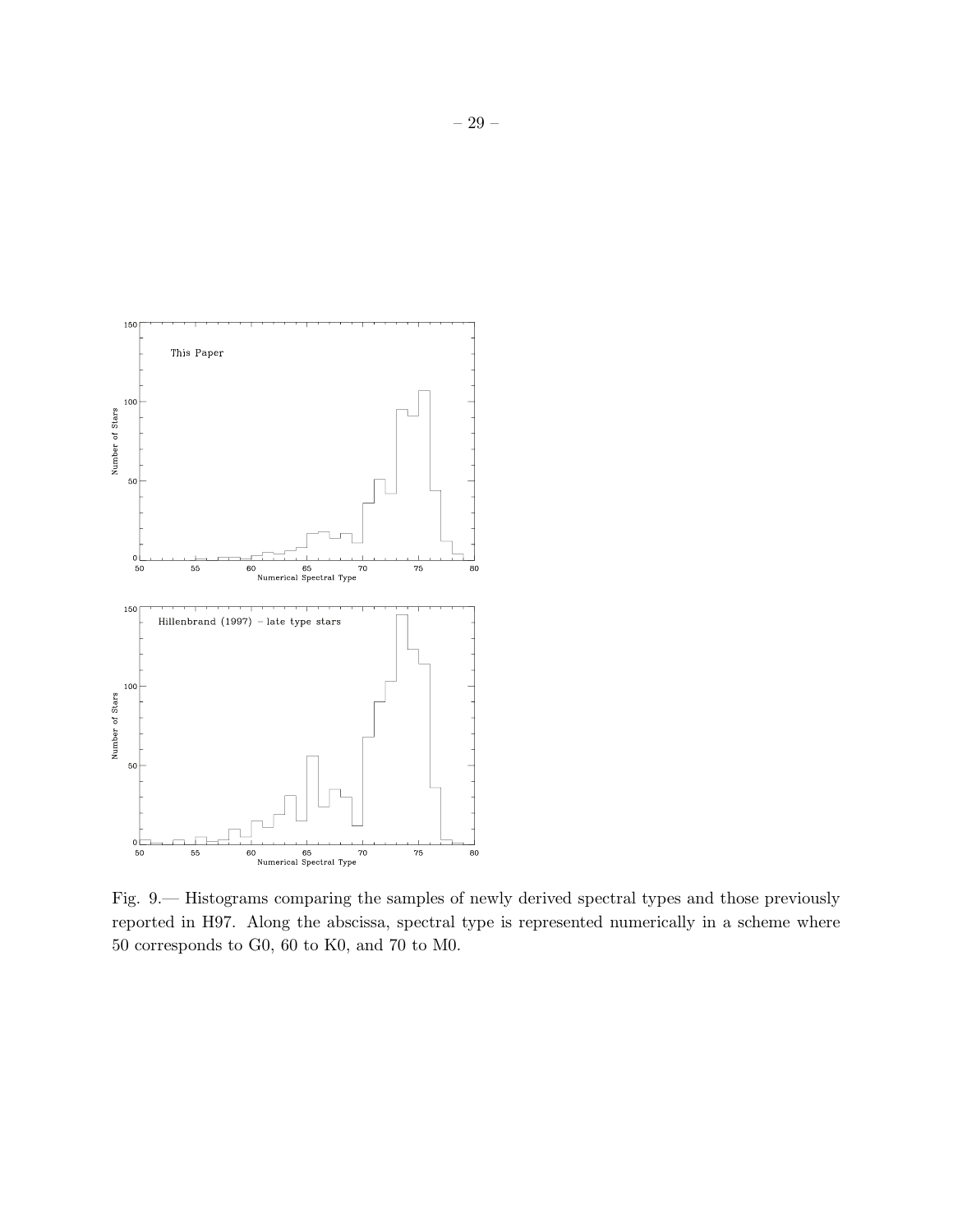

<span id="page-28-0"></span>Fig. 9.— Histograms comparing the samples of newly derived spectral types and those previously reported in H97. Along the abscissa, spectral type is represented numerically in a scheme where 50 corresponds to G0, 60 to K0, and 70 to M0.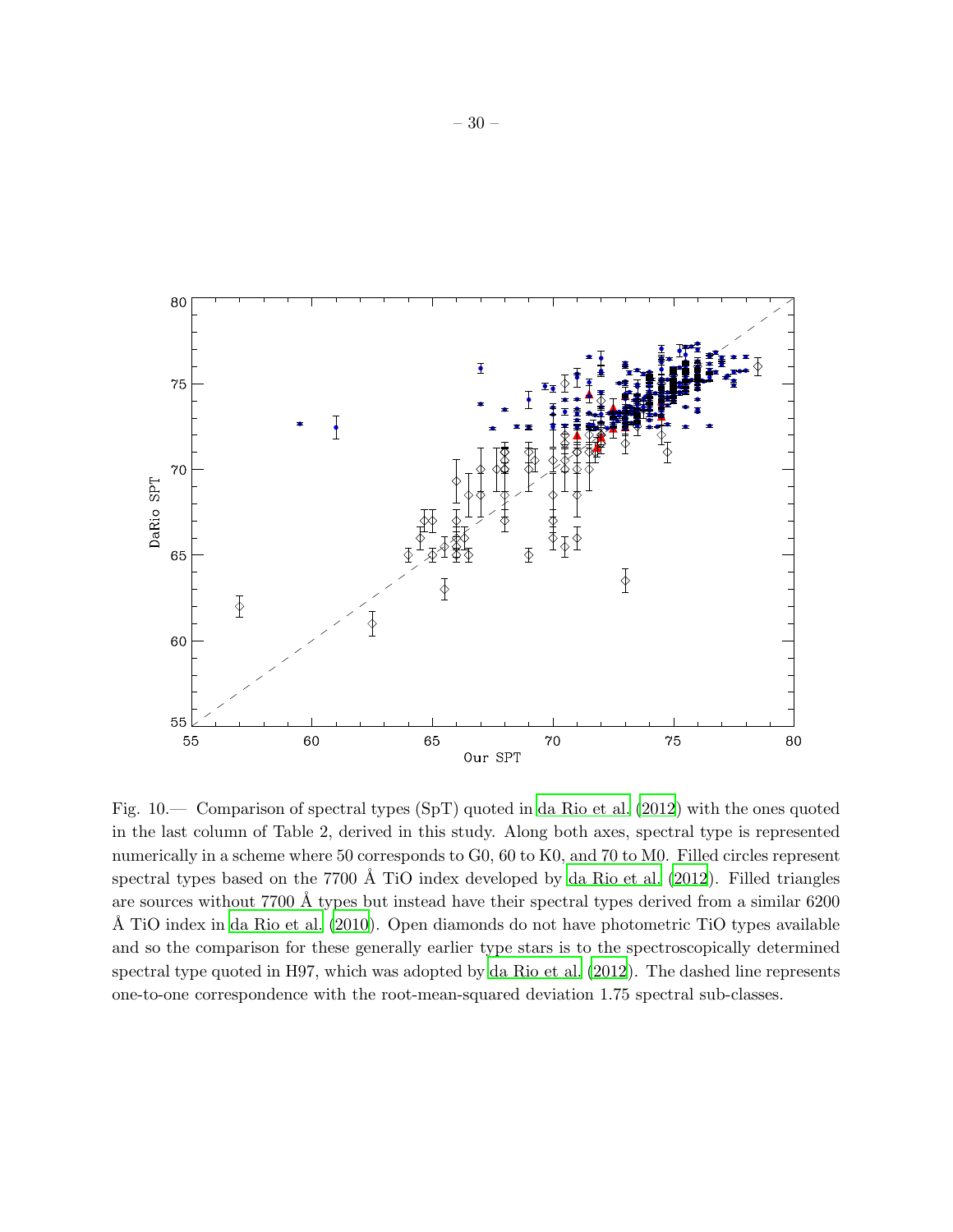

<span id="page-29-0"></span>Fig. 10.— Comparison of spectral types (SpT) quoted in [da Rio](#page-19-1) et al. [\(2012](#page-19-1)) with the ones quoted in the last column of Table 2, derived in this study. Along both axes, spectral type is represented numerically in a scheme where 50 corresponds to G0, 60 to K0, and 70 to M0. Filled circles represent spectral types based on the 7700 Å TiO index developed by da Rio et al.  $(2012)$ . Filled triangles are sources without 7700 Å types but instead have their spectral types derived from a similar 6200 Å TiO index in [da Rio et al. \(2010](#page-19-0)). Open diamonds do not have photometric TiO types available and so the comparison for these generally earlier type stars is to the spectroscopically determined spectral type quoted in H97, which was adopted by [da Rio et al.](#page-19-1) [\(2012](#page-19-1)). The dashed line represents one-to-one correspondence with the root-mean-squared deviation 1.75 spectral sub-classes.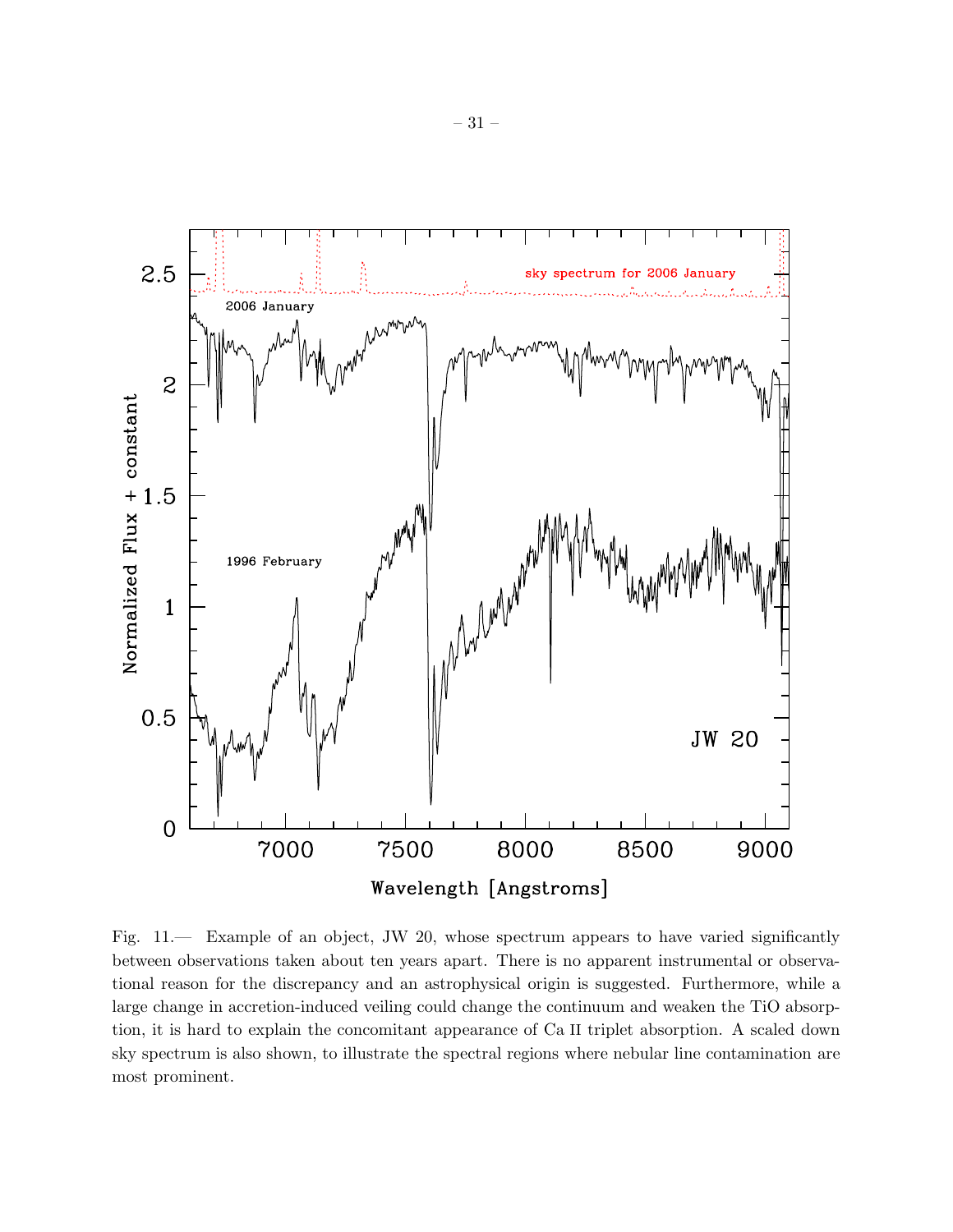

<span id="page-30-0"></span>Fig. 11.— Example of an object, JW 20, whose spectrum appears to have varied significantly between observations taken about ten years apart. There is no apparent instrumental or observational reason for the discrepancy and an astrophysical origin is suggested. Furthermore, while a large change in accretion-induced veiling could change the continuum and weaken the TiO absorption, it is hard to explain the concomitant appearance of Ca II triplet absorption. A scaled down sky spectrum is also shown, to illustrate the spectral regions where nebular line contamination are most prominent.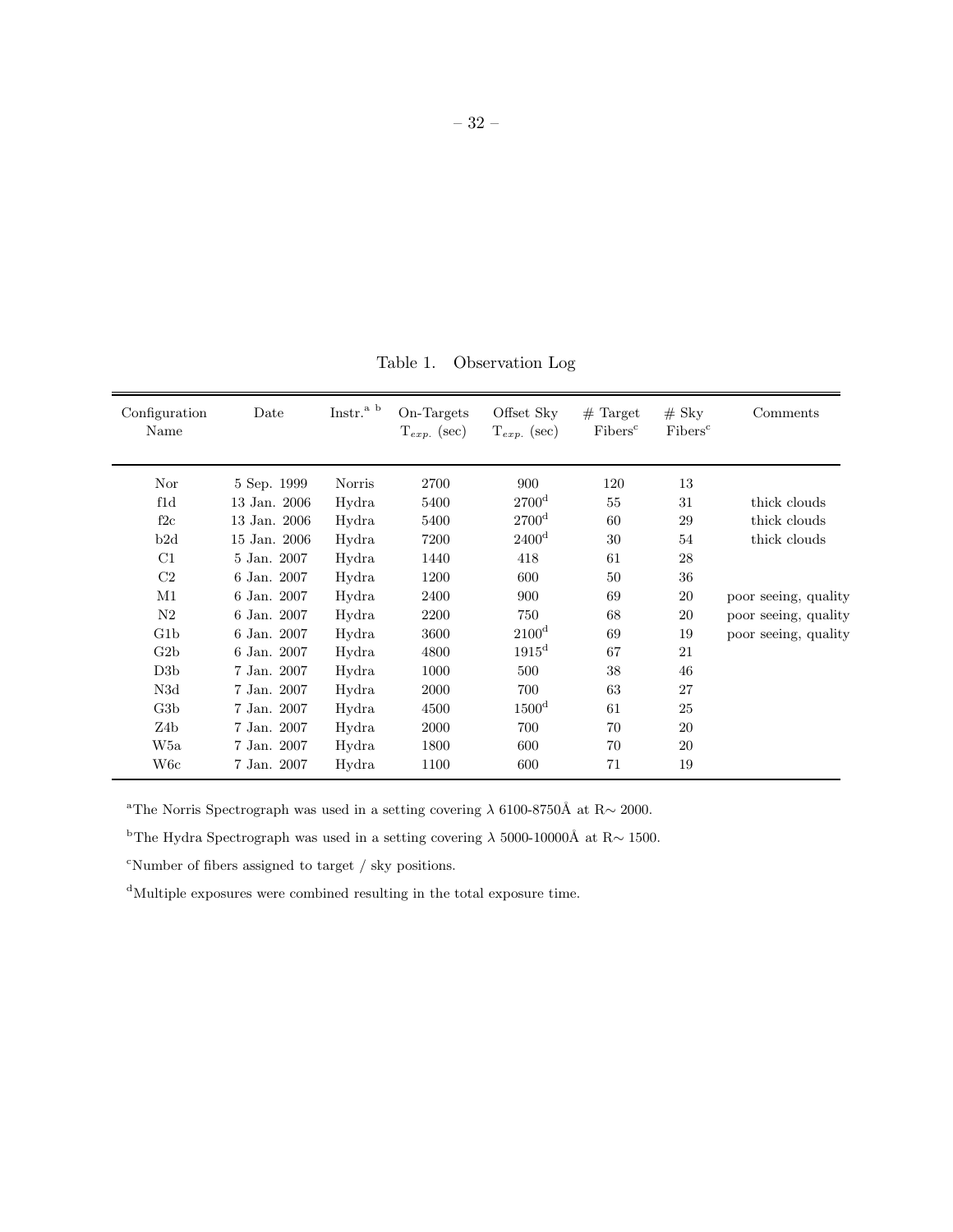Table 1. Observation Log

| Configuration<br>Name | Date         | Instr. <sup>a b</sup> | On-Targets<br>$T_{exp.}$ (sec) | Offset Sky<br>$T_{exp.}$ (sec) | $#$ Target<br>Fibers <sup>c</sup> | $#$ Sky<br>Fibers <sup>c</sup> | Comments             |
|-----------------------|--------------|-----------------------|--------------------------------|--------------------------------|-----------------------------------|--------------------------------|----------------------|
| Nor                   | 5 Sep. 1999  | Norris                | 2700                           | 900                            | 120                               | 13                             |                      |
| fd                    | 13 Jan. 2006 | Hydra                 | 5400                           | 2700 <sup>d</sup>              | 55                                | 31                             | thick clouds         |
| f2c                   | 13 Jan. 2006 | Hydra                 | 5400                           | $2700^{\rm d}$                 | 60                                | 29                             | thick clouds         |
| b2d                   | 15 Jan. 2006 | Hydra                 | 7200                           | 2400 <sup>d</sup>              | 30                                | 54                             | thick clouds         |
| C1                    | 5 Jan. 2007  | Hydra                 | 1440                           | 418                            | 61                                | 28                             |                      |
| C <sub>2</sub>        | 6 Jan. 2007  | Hydra                 | 1200                           | 600                            | 50                                | 36                             |                      |
| M1                    | 6 Jan. 2007  | Hydra                 | 2400                           | 900                            | 69                                | 20                             | poor seeing, quality |
| N2                    | 6 Jan. 2007  | Hydra                 | 2200                           | 750                            | 68                                | 20                             | poor seeing, quality |
| G1b                   | 6 Jan. 2007  | Hydra                 | 3600                           | $2100^{\rm d}$                 | 69                                | 19                             | poor seeing, quality |
| G2b                   | 6 Jan. 2007  | Hydra                 | 4800                           | $1915^{\rm d}$                 | 67                                | 21                             |                      |
| D3b                   | 7 Jan. 2007  | Hydra                 | 1000                           | 500                            | 38                                | 46                             |                      |
| N3d                   | 7 Jan. 2007  | Hydra                 | 2000                           | 700                            | 63                                | 27                             |                      |
| G3b                   | 7 Jan. 2007  | Hydra                 | 4500                           | $1500^{\rm d}$                 | 61                                | 25                             |                      |
| Z4b                   | 7 Jan. 2007  | Hydra                 | 2000                           | 700                            | 70                                | 20                             |                      |
| W5a                   | 7 Jan. 2007  | Hydra                 | 1800                           | 600                            | 70                                | 20                             |                      |
| W6c                   | 7 Jan. 2007  | Hydra                 | 1100                           | 600                            | 71                                | 19                             |                      |

<sup>a</sup>The Norris Spectrograph was used in a setting covering  $\lambda$  6100-8750Å at R∼ 2000.

bThe Hydra Spectrograph was used in a setting covering  $λ$  5000-10000Å at R $∼$  1500.

 $\Omega$ <sup>c</sup>Number of fibers assigned to target / sky positions.

 $^{\rm d}$  Multiple exposures were combined resulting in the total exposure time.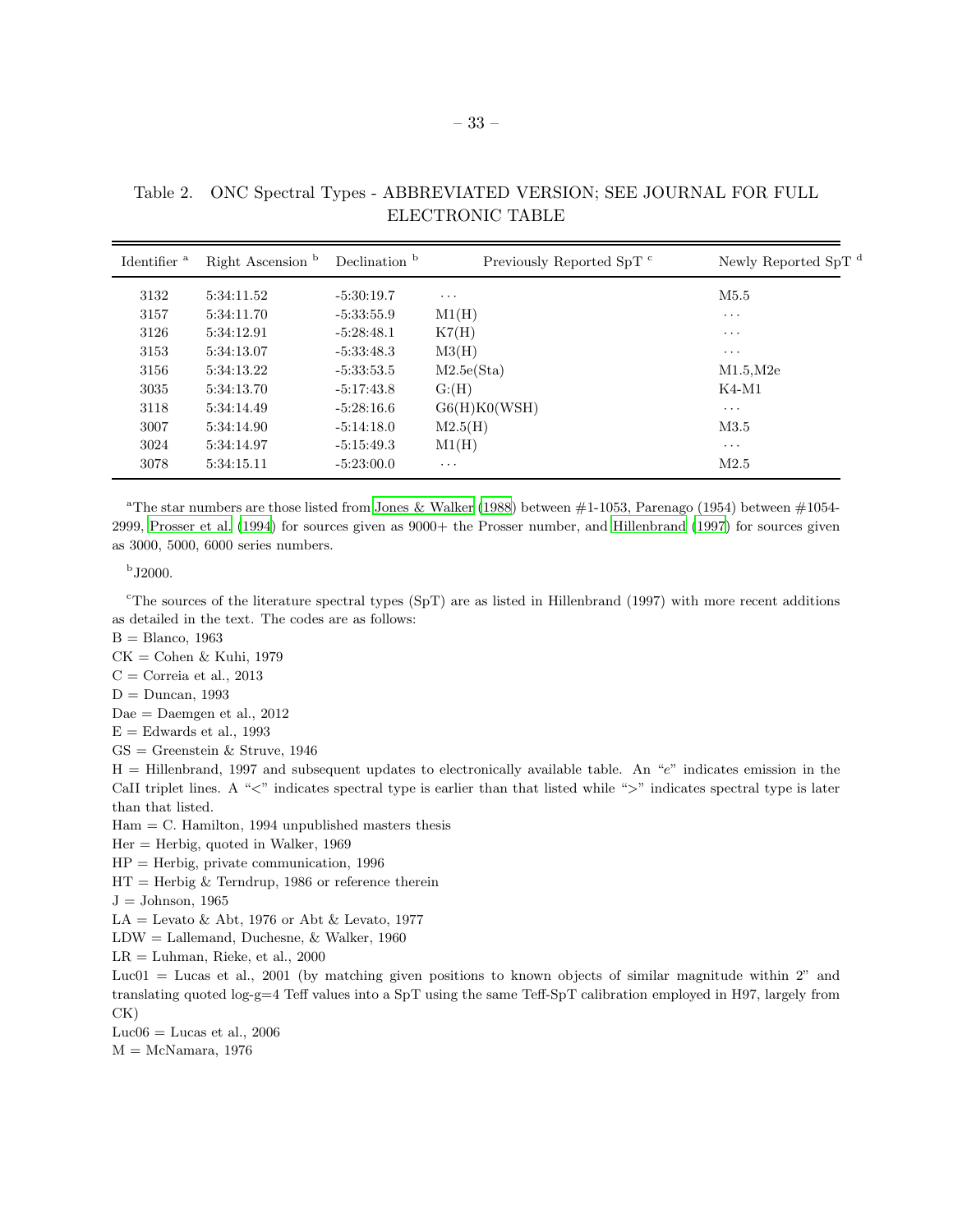| Identifier <sup>a</sup> | Right Ascension <sup>b</sup> | Declination <sup>b</sup> | Previously Reported SpT <sup>c</sup> | Newly Reported SpT d |
|-------------------------|------------------------------|--------------------------|--------------------------------------|----------------------|
| 3132                    | 5:34:11.52                   | $-5:30:19.7$             | $\cdots$                             | M5.5                 |
| 3157                    | 5:34:11.70                   | $-5:33:55.9$             | M1(H)                                | $\cdots$             |
| 3126                    | 5:34:12.91                   | $-5:28:48.1$             | K7(H)                                | $\cdots$             |
| 3153                    | 5:34:13.07                   | $-5:33:48.3$             | M3(H)                                | $\cdots$             |
| 3156                    | 5:34:13.22                   | $-5:33:53.5$             | M2.5e(Sta)                           | M1.5.M2e             |
| 3035                    | 5:34:13.70                   | $-5:17:43.8$             | G: (H)                               | $K4-M1$              |
| 3118                    | 5:34:14.49                   | $-5:28:16.6$             | G6(H)KO(WSH)                         | $\cdots$             |
| 3007                    | 5:34:14.90                   | $-5:14:18.0$             | M2.5(H)                              | M3.5                 |
| 3024                    | 5:34:14.97                   | $-5:15:49.3$             | M1(H)                                | $\cdots$             |
| 3078                    | 5:34:15.11                   | $-5:23:00.0$             | $\cdots$                             | M2.5                 |

Table 2. ONC Spectral Types - ABBREVIATED VERSION; SEE JOURNAL FOR FULL ELECTRONIC TABLE

<sup>a</sup>The star numbers are those listed from [Jones & Walker \(1988\)](#page-17-1) between  $\#1-1053$ , Parenago (1954) between  $\#1054-$ 2999, [Prosser et al. \(1994](#page-18-17)) for sources given as 9000+ the Prosser number, and [Hillenbrand \(1997](#page-17-0)) for sources given as 3000, 5000, 6000 series numbers.

 $b$  J2000.

 $c$ <sup>c</sup>The sources of the literature spectral types (SpT) are as listed in Hillenbrand (1997) with more recent additions as detailed in the text. The codes are as follows:

 $B =$ Blanco, 1963

 $CK = \text{Cohen} \&$  Kuhi, 1979

- $C = \text{Correia et al., } 2013$
- $D = Duncan, 1993$
- $\text{Dae} = \text{Daemgen}$  et al., 2012
- $E =$  Edwards et al., 1993
- $GS =$  Greenstein & Struve, 1946

H = Hillenbrand, 1997 and subsequent updates to electronically available table. An "e" indicates emission in the CaII triplet lines. A "<" indicates spectral type is earlier than that listed while ">" indicates spectral type is later than that listed.

 $Ham = C.$  Hamilton, 1994 unpublished masters thesis

- $Her = Herbig, quoted in Walker, 1969$
- $HP = Herbig, private communication, 1996$
- $HT = Herbig \& Terndrup, 1986$  or reference therein
- $J =$  Johnson, 1965
- $LA = Levato \& Abt, 1976$  or Abt  $\& Levato, 1977$
- LDW = Lallemand, Duchesne, & Walker, 1960
- $LR = Luhman$ , Rieke, et al., 2000

Luc01 = Lucas et al., 2001 (by matching given positions to known objects of similar magnitude within 2" and translating quoted log-g=4 Teff values into a SpT using the same Teff-SpT calibration employed in H97, largely from CK)

Luc06 = Lucas et al.,  $2006$ 

 $M = McNamara, 1976$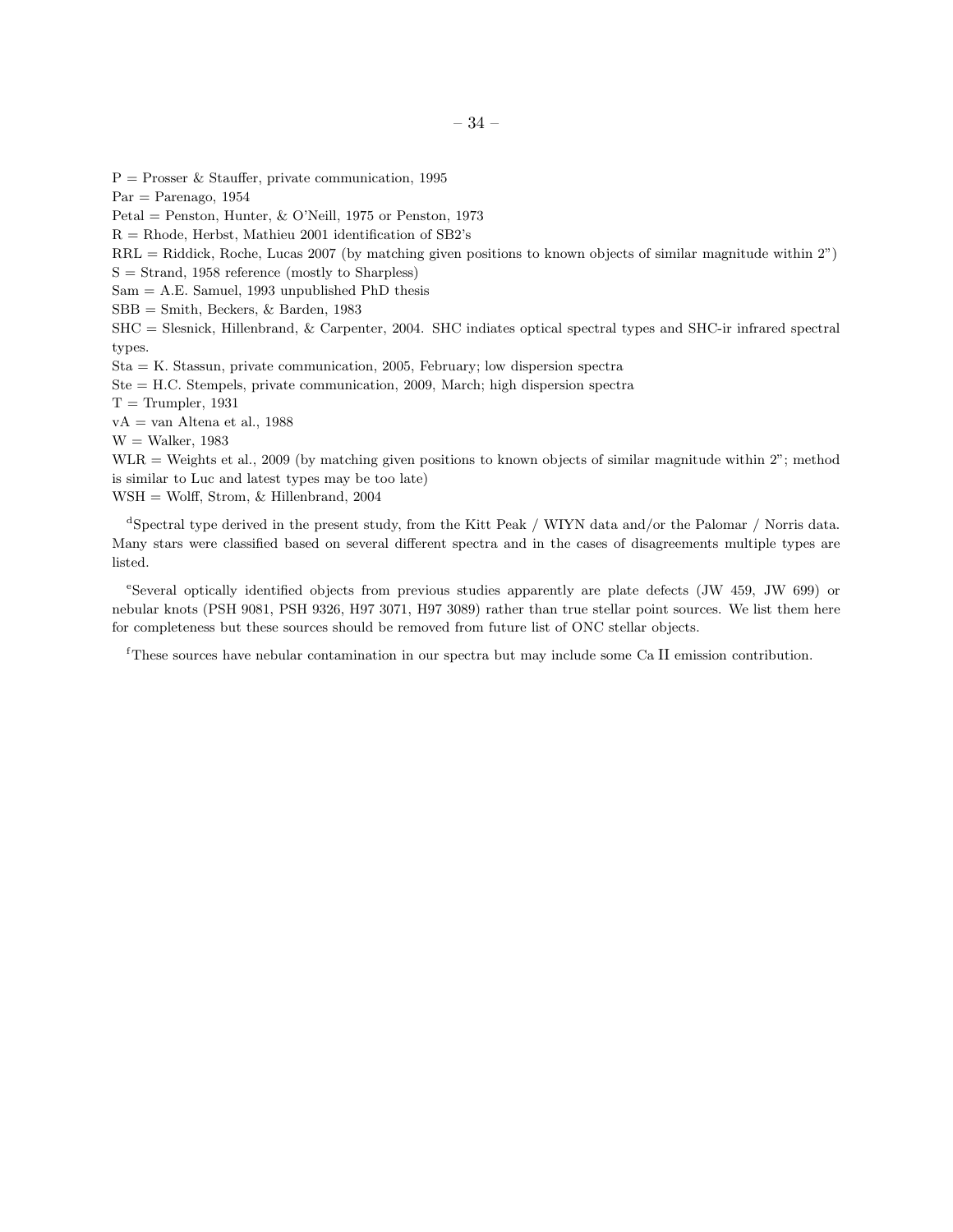$P =$  Prosser & Stauffer, private communication, 1995  $Par = Parenago, 1954$ Petal = Penston, Hunter, & O'Neill, 1975 or Penston, 1973  $R = R$ hode, Herbst, Mathieu 2001 identification of SB2's RRL = Riddick, Roche, Lucas 2007 (by matching given positions to known objects of similar magnitude within 2")  $S =$  Strand, 1958 reference (mostly to Sharpless)  $Sam = A.E. Samuel, 1993 unpublished PhD thesis$ SBB = Smith, Beckers, & Barden, 1983 SHC = Slesnick, Hillenbrand, & Carpenter, 2004. SHC indiates optical spectral types and SHC-ir infrared spectral types. Sta = K. Stassun, private communication, 2005, February; low dispersion spectra Ste = H.C. Stempels, private communication, 2009, March; high dispersion spectra

 $T =$ Trumpler, 1931  $vA = van$  Altena et al., 1988

 $W =$  Walker, 1983

 $WLR =$  Weights et al., 2009 (by matching given positions to known objects of similar magnitude within 2"; method is similar to Luc and latest types may be too late)

WSH = Wolff, Strom, & Hillenbrand, 2004

<sup>d</sup>Spectral type derived in the present study, from the Kitt Peak / WIYN data and/or the Palomar / Norris data. Many stars were classified based on several different spectra and in the cases of disagreements multiple types are listed.

e Several optically identified objects from previous studies apparently are plate defects (JW 459, JW 699) or nebular knots (PSH 9081, PSH 9326, H97 3071, H97 3089) rather than true stellar point sources. We list them here for completeness but these sources should be removed from future list of ONC stellar objects.

<sup>f</sup>These sources have nebular contamination in our spectra but may include some Ca II emission contribution.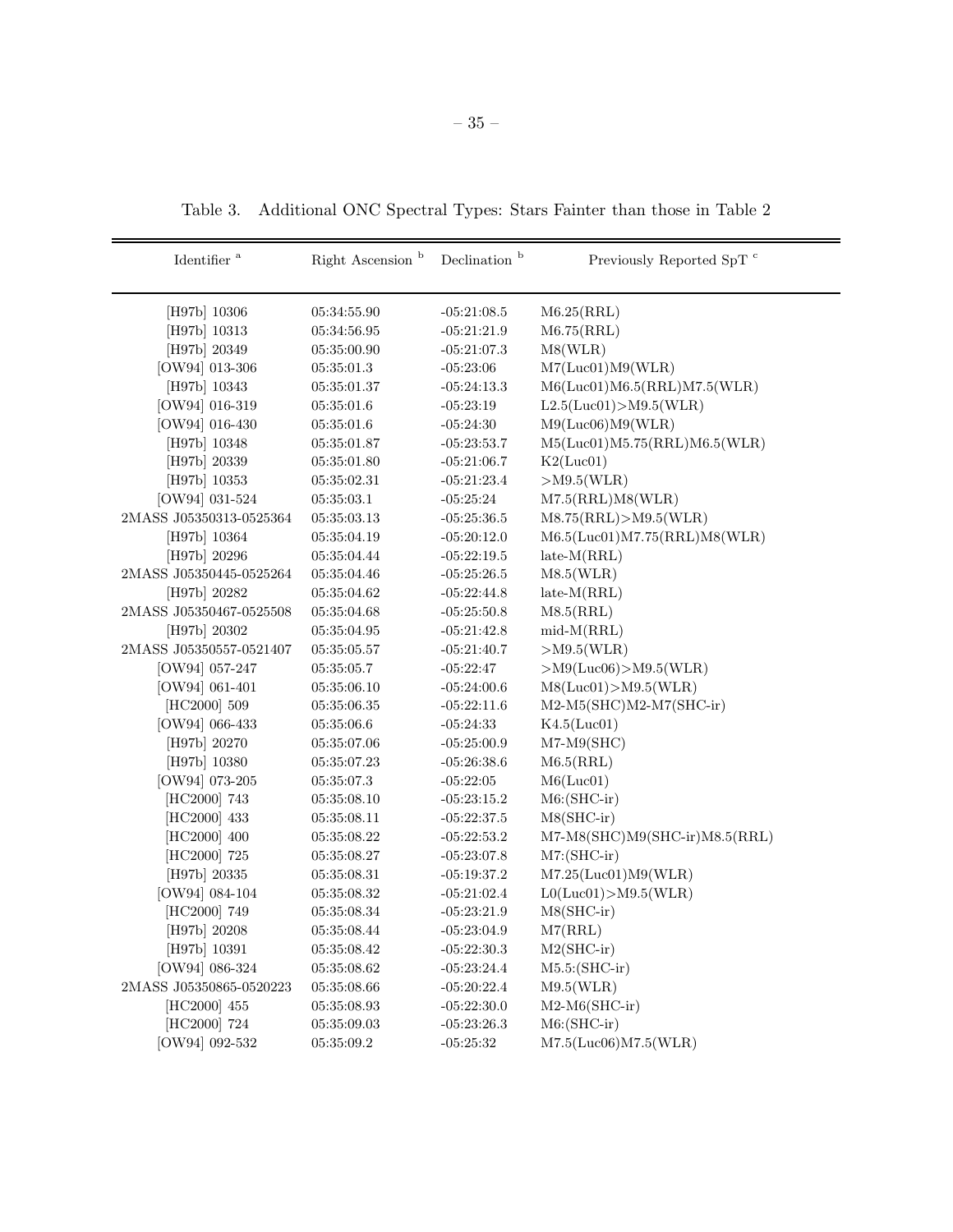Table 3. Additional ONC Spectral Types: Stars Fainter than those in Table 2

| Identifier $a$          | Right Ascension <sup>b</sup>  | Declination <sup>b</sup> | Previously Reported SpT <sup>c</sup> |
|-------------------------|-------------------------------|--------------------------|--------------------------------------|
| [H97b] 10306            | 05:34:55.90                   | $-05:21:08.5$            | M6.25(RRL)                           |
| [H97b] 10313            | 05:34:56.95                   | $-05:21:21.9$            | M6.75(RRL)                           |
| [H97b] 20349            | 05:35:00.90                   | $-05:21:07.3$            | M8(WLR)                              |
| [OW94] 013-306          | 05:35:01.3                    | $-05:23:06$              | M7(Luc01)M9(WLR)                     |
| [H97b] 10343            | 05:35:01.37                   | $-05:24:13.3$            | M6(Luc01)M6.5(RRL)M7.5(WLR)          |
| [OW94] 016-319          | 05:35:01.6                    | $-05:23:19$              | L2.5(Luc01) > M9.5(WLR)              |
| $[OW94] 016-430$        | 05:35:01.6                    | $-05:24:30$              | M9(Luc06)M9(WLR)                     |
| [H97b] 10348            | 05:35:01.87                   | $-05:23:53.7$            | M5(Luc01)M5.75(RRL)M6.5(WLR)         |
| [H97b] 20339            | 05:35:01.80                   | $-05:21:06.7$            | K2(Luc01)                            |
| [H97b] 10353            | 05:35:02.31                   | $-05:21:23.4$            | $>$ M9.5(WLR)                        |
| [OW94] 031-524          | 05:35:03.1                    | $-05:25:24$              | M7.5(RRL)M8(WLR)                     |
| 2MASS J05350313-0525364 | 05:35:03.13                   | $-05:25:36.5$            | M8.75(RRL) > M9.5(WLR)               |
| [H97b] 10364            | 05:35:04.19                   | $-05:20:12.0$            | M6.5(Luc01)M7.75(RRL)M8(WLR)         |
| [H97b] 20296            | 05:35:04.44                   | $-05:22:19.5$            | $late-M(RRL)$                        |
| 2MASS J05350445-0525264 | 05:35:04.46                   | $-05:25:26.5$            | M8.5(WLR)                            |
| [H97b] 20282            | 05:35:04.62                   | $-05:22:44.8$            | $late-M(RRL)$                        |
| 2MASS J05350467-0525508 | 05:35:04.68                   | $-05:25:50.8$            | M8.5(RRL)                            |
| [H97b] 20302            | 05:35:04.95                   | $-05:21:42.8$            | $mid-M(RRL)$                         |
| 2MASS J05350557-0521407 | 05:35:05.57                   | $-05:21:40.7$            | $>$ M9.5(WLR)                        |
| [OW94] 057-247          | 05:35:05.7                    | $-05:22:47$              | $>$ M9(Luc06) $>$ M9.5(WLR)          |
| [OW94] 061-401          | 05:35:06.10                   | $-05:24:00.6$            | M8(Luc01) > M9.5(WLR)                |
| [HC2000] 509            | 05:35:06.35                   | $-05:22:11.6$            | M2-M5(SHC)M2-M7(SHC-ir)              |
| [OW94] 066-433          | 05:35:06.6                    | $-05:24:33$              | K4.5(Luc01)                          |
| [H97b] 20270            | 05:35:07.06                   | $-05:25:00.9$            | $M7-M9(SHC)$                         |
| [H97b] 10380            | 05:35:07.23                   | $-05:26:38.6$            | M6.5(RRL)                            |
| [OW94] 073-205          | 05:35:07.3                    | $-05:22:05$              | M6(Luc01)                            |
| [HC2000] 743            | 05:35:08.10                   | $-05:23:15.2$            | $M6$ : (SHC-ir)                      |
| [HC2000] 433            | 05:35:08.11                   | $-05:22:37.5$            | $M8(SHC-ir)$                         |
| [HC2000] 400            | 05:35:08.22                   | $-05:22:53.2$            | M7-M8(SHC)M9(SHC-ir)M8.5(RRL)        |
| [HC2000] 725            | 05:35:08.27                   | $-05:23:07.8$            | $M7: (SHC-ir)$                       |
| [H97b] 20335            | 05:35:08.31                   | $-05:19:37.2$            | M7.25(Luc01)M9(WLR)                  |
| [OW94] 084-104          | 05:35:08.32                   | $-05:21:02.4$            | LO(Luc01) > M9.5(WLR)                |
| [HC2000] 749            | 05:35:08.34                   | $-05:23:21.9$            | $M8(SHC-ir)$                         |
| [H97b] 20208            | 05:35:08.44                   | $-05:23:04.9$            | M7(RRL)                              |
| [H97b] 10391            | 05:35:08.42                   | $-05:22:30.3$            | $M2(SHC-ir)$                         |
| [OW94] 086-324          | $05\!\!:\!\!35\!\!:\!\!08.62$ | $-05:23:24.4$            | $M5.5$ : (SHC-ir)                    |
| 2MASS J05350865-0520223 | 05:35:08.66                   | $-05:20:22.4$            | M9.5(WLR)                            |
| [HC2000] 455            | $05\!\!:\!\!35\!\!:\!\!08.93$ | $-05:22:30.0$            | $M2-M6(SHC-ir)$                      |
| [HC2000] 724            | 05:35:09.03                   | $-05:23:26.3$            | $M6$ : (SHC-ir)                      |
| [OW94] 092-532          | 05:35:09.2                    | $-05:25:32$              | M7.5(Luc06)M7.5(WLR)                 |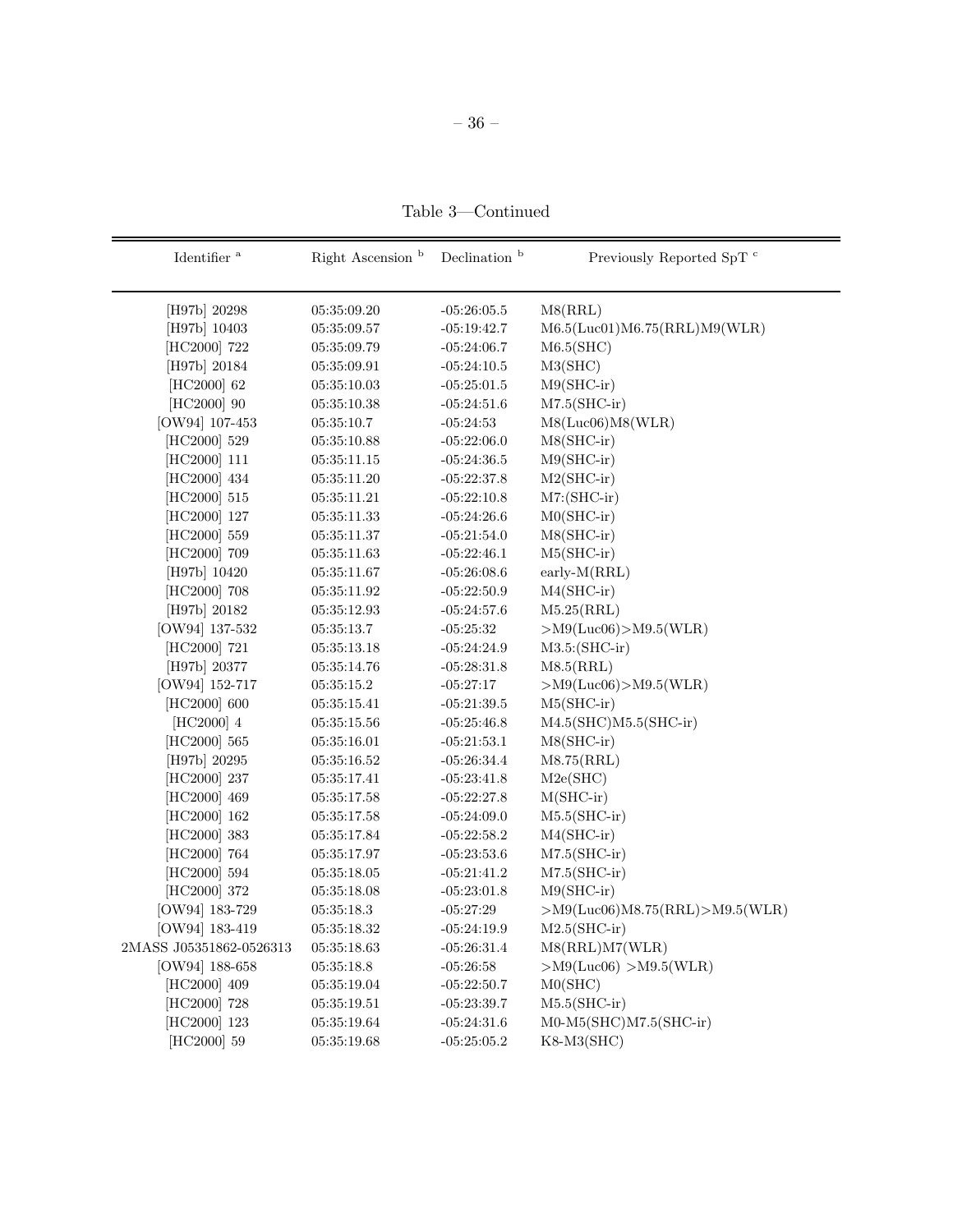– 36 –

Table 3—Continued

| Identifier $^{\rm a}$   | Right Ascension <sup>b</sup> | Declination <sup>b</sup> | Previously Reported SpT <sup>c</sup>  |
|-------------------------|------------------------------|--------------------------|---------------------------------------|
| [H97b] 20298            | 05:35:09.20                  | $-05:26:05.5$            | M8(RRL)                               |
| [H97b] 10403            | 05:35:09.57                  | $-05:19:42.7$            | M6.5(Luc01)M6.75(RRL)M9(WLR)          |
| [HC2000] 722            | 05:35:09.79                  | $-05:24:06.7$            | M6.5(SHC)                             |
| [H97b] 20184            | 05:35:09.91                  | $-05:24:10.5$            | M3(SHC)                               |
| [HC2000] 62             | 05:35:10.03                  | $-05:25:01.5$            | $M9(SHC-ir)$                          |
| [HC2000] 90             | 05:35:10.38                  | $-05:24:51.6$            | $M7.5(SHC-ir)$                        |
| [OW94] 107-453          | 05:35:10.7                   | $-05:24:53$              | M8(Luc06)M8(WLR)                      |
| [HC2000] 529            | 05:35:10.88                  | $-05:22:06.0$            | $M8(SHC-ir)$                          |
| [HC2000] 111            | 05:35:11.15                  | $-05:24:36.5$            | $M9(SHC-ir)$                          |
| [HC2000] 434            | 05:35:11.20                  | $-05:22:37.8$            | $M2(SHC-ir)$                          |
| [HC2000] 515            | 05:35:11.21                  | $-05:22:10.8$            | $M7: (SHC-ir)$                        |
| [HC2000] 127            | 05:35:11.33                  | $-05:24:26.6$            | $MO(SHC-ir)$                          |
| [HC2000] 559            | 05:35:11.37                  | $-05:21:54.0$            | $M8(SHC-ir)$                          |
| [HC2000] 709            | 05:35:11.63                  | $-05:22:46.1$            | $M5(SHC-ir)$                          |
| [H97b] 10420            | 05:35:11.67                  | $-05:26:08.6$            | $early-M(RRL)$                        |
| [HC2000] 708            | 05:35:11.92                  | $-05:22:50.9$            | $M4(SHC-ir)$                          |
| [H97b] 20182            | 05:35:12.93                  | $-05:24:57.6$            | M5.25(RRL)                            |
| [OW94] 137-532          | 05:35:13.7                   | $-05:25:32$              | $>$ M9(Luc06) $>$ M9.5(WLR)           |
| [HC2000] 721            | 05:35:13.18                  | $-05:24:24.9$            | $M3.5$ : (SHC-ir)                     |
| [H97b] 20377            | 05:35:14.76                  | $-05:28:31.8$            | M8.5(RRL)                             |
| [OW94] 152-717          | 05:35:15.2                   | $-05:27:17$              | $>$ M9(Luc06) $>$ M9.5(WLR)           |
| [HC2000] 600            | 05:35:15.41                  | $-05:21:39.5$            | $M5(SHC-ir)$                          |
| [HC2000] 4              | 05:35:15.56                  | $-05:25:46.8$            | $M4.5(SHC)M5.5(SHC-ir)$               |
| [HC2000] 565            | 05:35:16.01                  | $-05:21:53.1$            | $M8(SHC-ir)$                          |
| [H97b] 20295            | 05:35:16.52                  | $-05:26:34.4$            | M8.75(RRL)                            |
| [HC2000] 237            | 05:35:17.41                  | $-05:23:41.8$            | M2e(SHC)                              |
| [HC2000] 469            | 05:35:17.58                  | $-05:22:27.8$            | $M(SHC-ir)$                           |
| [HC2000] 162            | 05:35:17.58                  | $-05:24:09.0$            | $M5.5(SHC-ir)$                        |
| [HC2000] 383            | 05:35:17.84                  | $-05:22:58.2$            | $M4(SHC-ir)$                          |
| [HC2000] 764            | 05:35:17.97                  | $-05:23:53.6$            | $M7.5(SHC-ir)$                        |
| [HC2000] 594            | 05:35:18.05                  | $-05:21:41.2$            | $M7.5(SHC-ir)$                        |
| [HC2000] 372            | 05:35:18.08                  | $-05:23:01.8$            | $M9(SHC-ir)$                          |
| [OW94] 183-729          | 05:35:18.3                   | $-05:27:29$              | $>$ M9(Luc06)M8.75(RRL) $>$ M9.5(WLR) |
| [OW94] 183-419          | 05:35:18.32                  | $-05:24:19.9$            | $M2.5(SHC-ir)$                        |
| 2MASS J05351862-0526313 | 05:35:18.63                  | $-05:26:31.4$            | M8(RRL)M7(WLR)                        |
| $[OW94]$ 188-658        | 05:35:18.8                   | $-05:26:58$              | $>$ M9(Luc06) $>$ M9.5(WLR)           |
| [HC2000] 409            | 05:35:19.04                  | $-05:22:50.7$            | MO(SHC)                               |
| [HC2000] 728            | 05:35:19.51                  | $-05:23:39.7$            | $M5.5(SHC-ir)$                        |
| [HC2000] 123            | 05:35:19.64                  | $-05:24:31.6$            | $MO-M5(SHC)M7.5(SHC-ir)$              |
| [HC2000] 59             | 05:35:19.68                  | $-05:25:05.2$            | $K8-M3(SHC)$                          |